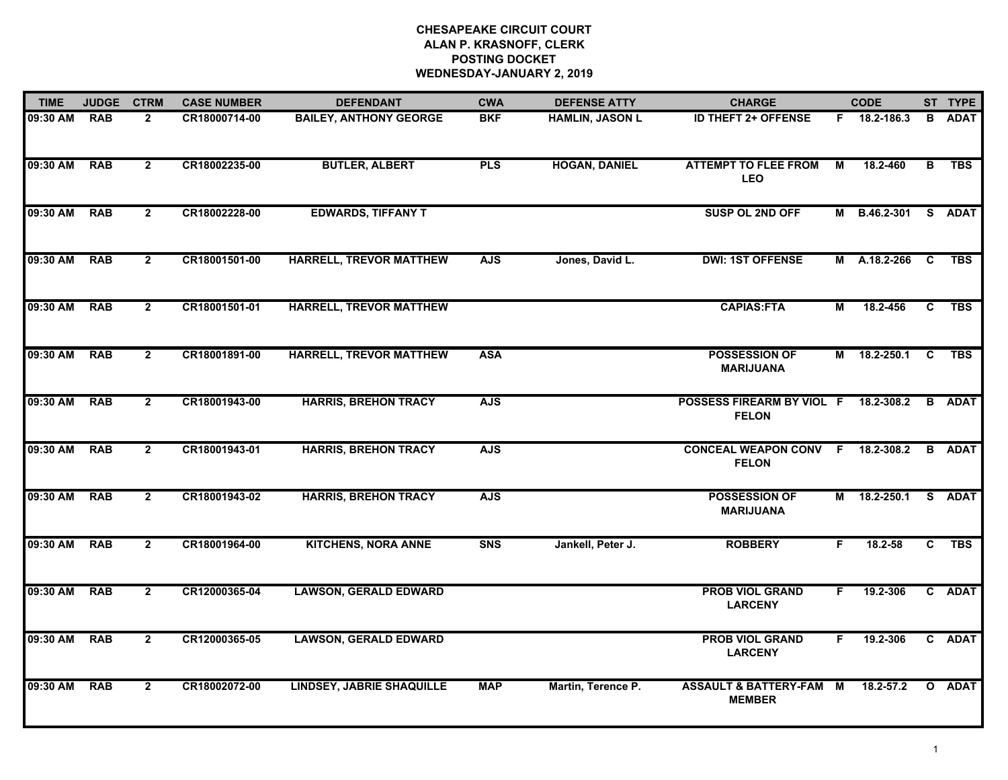| <b>TIME</b> | <b>JUDGE</b> | <b>CTRM</b>    | <b>CASE NUMBER</b> | <b>DEFENDANT</b>                 | <b>CWA</b> | <b>DEFENSE ATTY</b>    | <b>CHARGE</b>                                        |    | <b>CODE</b>  |              | ST TYPE       |
|-------------|--------------|----------------|--------------------|----------------------------------|------------|------------------------|------------------------------------------------------|----|--------------|--------------|---------------|
| 09:30 AM    | <b>RAB</b>   | $\mathbf{2}$   | CR18000714-00      | <b>BAILEY, ANTHONY GEORGE</b>    | <b>BKF</b> | <b>HAMLIN, JASON L</b> | <b>ID THEFT 2+ OFFENSE</b>                           |    | F 18.2-186.3 | B.           | <b>ADAT</b>   |
| 09:30 AM    | <b>RAB</b>   | $\overline{2}$ | CR18002235-00      | <b>BUTLER, ALBERT</b>            | <b>PLS</b> | <b>HOGAN, DANIEL</b>   | <b>ATTEMPT TO FLEE FROM</b><br>LEO                   | М  | 18.2-460     | В            | <b>TBS</b>    |
| 09:30 AM    | <b>RAB</b>   | $\overline{2}$ | CR18002228-00      | <b>EDWARDS, TIFFANY T</b>        |            |                        | SUSP OL 2ND OFF                                      |    | M B.46.2-301 |              | S ADAT        |
| 09:30 AM    | <b>RAB</b>   | $\mathbf{2}$   | CR18001501-00      | HARRELL, TREVOR MATTHEW          | <b>AJS</b> | Jones, David L.        | <b>DWI: 1ST OFFENSE</b>                              |    | M A.18.2-266 | C.           | <b>TBS</b>    |
| 09:30 AM    | <b>RAB</b>   | $\overline{2}$ | CR18001501-01      | <b>HARRELL, TREVOR MATTHEW</b>   |            |                        | <b>CAPIAS:FTA</b>                                    | М  | 18.2-456     | $\mathbf{c}$ | <b>TBS</b>    |
| 09:30 AM    | <b>RAB</b>   | $\mathbf{2}$   | CR18001891-00      | <b>HARRELL, TREVOR MATTHEW</b>   | <b>ASA</b> |                        | <b>POSSESSION OF</b><br><b>MARIJUANA</b>             |    | M 18.2-250.1 | C            | <b>TBS</b>    |
| 09:30 AM    | <b>RAB</b>   | $\overline{2}$ | CR18001943-00      | <b>HARRIS, BREHON TRACY</b>      | <b>AJS</b> |                        | POSSESS FIREARM BY VIOL F 18.2-308.2<br><b>FELON</b> |    |              |              | <b>B</b> ADAT |
| 09:30 AM    | <b>RAB</b>   | $\mathbf{2}$   | CR18001943-01      | <b>HARRIS, BREHON TRACY</b>      | <b>AJS</b> |                        | CONCEAL WEAPON CONV F 18.2-308.2<br><b>FELON</b>     |    |              |              | <b>B</b> ADAT |
| 09:30 AM    | <b>RAB</b>   | $\overline{2}$ | CR18001943-02      | <b>HARRIS, BREHON TRACY</b>      | <b>AJS</b> |                        | <b>POSSESSION OF</b><br><b>MARIJUANA</b>             |    | M 18.2-250.1 |              | S ADAT        |
| 09:30 AM    | <b>RAB</b>   | $\overline{2}$ | CR18001964-00      | <b>KITCHENS, NORA ANNE</b>       | <b>SNS</b> | Jankell, Peter J.      | <b>ROBBERY</b>                                       | F  | $18.2 - 58$  | C            | <b>TBS</b>    |
| 09:30 AM    | <b>RAB</b>   | $\overline{2}$ | CR12000365-04      | <b>LAWSON, GERALD EDWARD</b>     |            |                        | <b>PROB VIOL GRAND</b><br><b>LARCENY</b>             | F. | 19.2-306     |              | C ADAT        |
| 09:30 AM    | <b>RAB</b>   | $\overline{2}$ | CR12000365-05      | <b>LAWSON, GERALD EDWARD</b>     |            |                        | <b>PROB VIOL GRAND</b><br><b>LARCENY</b>             | F. | 19.2-306     |              | C ADAT        |
| 09:30 AM    | <b>RAB</b>   | $\overline{2}$ | CR18002072-00      | <b>LINDSEY, JABRIE SHAQUILLE</b> | <b>MAP</b> | Martin, Terence P.     | <b>ASSAULT &amp; BATTERY-FAM</b><br><b>MEMBER</b>    | M  | 18.2-57.2    | $\mathbf{o}$ | <b>ADAT</b>   |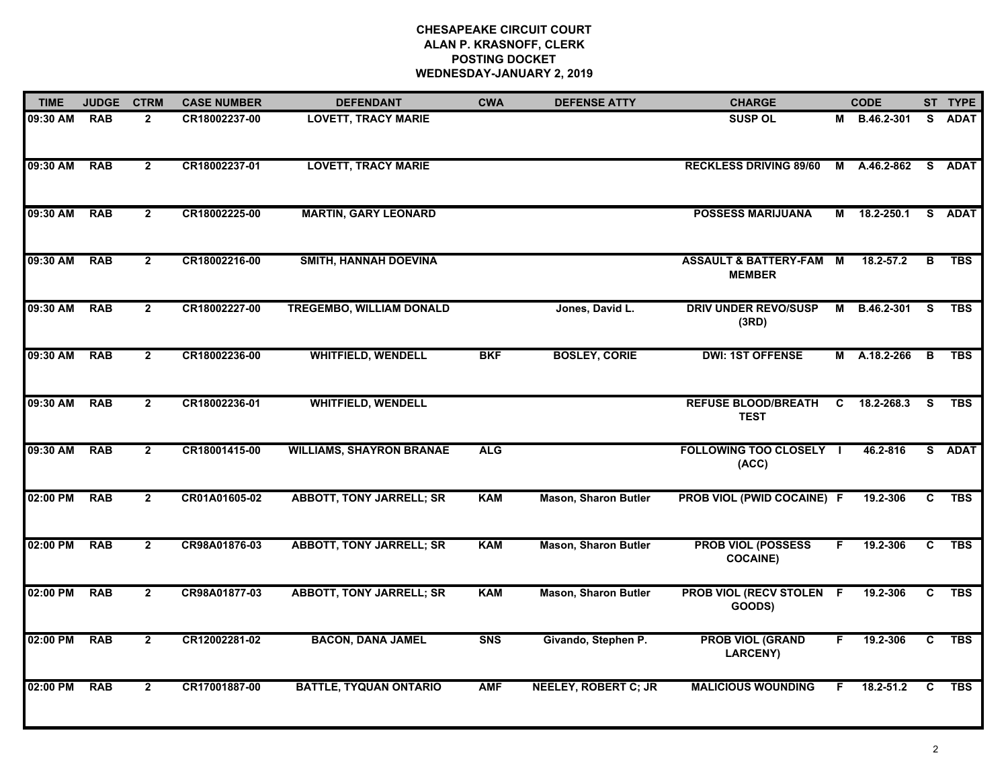| <b>TIME</b> | <b>JUDGE</b> | <b>CTRM</b>    | <b>CASE NUMBER</b> | <b>DEFENDANT</b>                | <b>CWA</b> | <b>DEFENSE ATTY</b>         | <b>CHARGE</b>                                       |    | <b>CODE</b>   |    | ST TYPE     |
|-------------|--------------|----------------|--------------------|---------------------------------|------------|-----------------------------|-----------------------------------------------------|----|---------------|----|-------------|
| 09:30 AM    | <b>RAB</b>   | $\overline{2}$ | CR18002237-00      | <b>LOVETT, TRACY MARIE</b>      |            |                             | <b>SUSP OL</b>                                      |    | M B.46.2-301  |    | S ADAT      |
| 09:30 AM    | <b>RAB</b>   | $\overline{2}$ | CR18002237-01      | <b>LOVETT, TRACY MARIE</b>      |            |                             | <b>RECKLESS DRIVING 89/60</b>                       |    | M A.46.2-862  | S. | <b>ADAT</b> |
| 09:30 AM    | <b>RAB</b>   | $\overline{2}$ | CR18002225-00      | <b>MARTIN, GARY LEONARD</b>     |            |                             | <b>POSSESS MARIJUANA</b>                            |    | M 18.2-250.1  |    | S ADAT      |
| 09:30 AM    | <b>RAB</b>   | $\overline{2}$ | CR18002216-00      | SMITH, HANNAH DOEVINA           |            |                             | <b>ASSAULT &amp; BATTERY-FAM M</b><br><b>MEMBER</b> |    | 18.2-57.2     | B  | <b>TBS</b>  |
| 09:30 AM    | <b>RAB</b>   | $2^{\circ}$    | CR18002227-00      | <b>TREGEMBO, WILLIAM DONALD</b> |            | Jones, David L.             | <b>DRIV UNDER REVO/SUSP</b><br>(3RD)                |    | M B.46.2-301  | S. | <b>TBS</b>  |
| 09:30 AM    | <b>RAB</b>   | $\overline{2}$ | CR18002236-00      | <b>WHITFIELD, WENDELL</b>       | <b>BKF</b> | <b>BOSLEY, CORIE</b>        | <b>DWI: 1ST OFFENSE</b>                             |    | M A.18.2-266  | в  | <b>TBS</b>  |
| 09:30 AM    | <b>RAB</b>   | $\overline{2}$ | CR18002236-01      | <b>WHITFIELD, WENDELL</b>       |            |                             | <b>REFUSE BLOOD/BREATH</b><br><b>TEST</b>           | C  | 18.2-268.3    | -S | <b>TBS</b>  |
| 09:30 AM    | <b>RAB</b>   | $\overline{2}$ | CR18001415-00      | <b>WILLIAMS, SHAYRON BRANAE</b> | <b>ALG</b> |                             | <b>FOLLOWING TOO CLOSELY I</b><br>(ACC)             |    | 46.2-816      |    | S ADAT      |
| 02:00 PM    | <b>RAB</b>   | $\overline{2}$ | CR01A01605-02      | <b>ABBOTT, TONY JARRELL; SR</b> | <b>KAM</b> | <b>Mason, Sharon Butler</b> | <b>PROB VIOL (PWID COCAINE) F</b>                   |    | 19.2-306      | C  | <b>TBS</b>  |
| 02:00 PM    | <b>RAB</b>   | $\overline{2}$ | CR98A01876-03      | <b>ABBOTT, TONY JARRELL; SR</b> | KAM        | <b>Mason, Sharon Butler</b> | <b>PROB VIOL (POSSESS</b><br><b>COCAINE)</b>        | F. | 19.2-306      | C  | <b>TBS</b>  |
| 02:00 PM    | <b>RAB</b>   | $\overline{2}$ | CR98A01877-03      | <b>ABBOTT, TONY JARRELL; SR</b> | <b>KAM</b> | <b>Mason, Sharon Butler</b> | <b>PROB VIOL (RECV STOLEN F</b><br>GOODS)           |    | 19.2-306      | C  | <b>TBS</b>  |
| 02:00 PM    | <b>RAB</b>   | $\overline{2}$ | CR12002281-02      | <b>BACON, DANA JAMEL</b>        | <b>SNS</b> | Givando, Stephen P.         | <b>PROB VIOL (GRAND</b><br>LARCENY)                 | F  | 19.2-306      | C  | <b>TBS</b>  |
| 02:00 PM    | <b>RAB</b>   | $\overline{2}$ | CR17001887-00      | <b>BATTLE, TYQUAN ONTARIO</b>   | <b>AMF</b> | <b>NEELEY, ROBERT C; JR</b> | <b>MALICIOUS WOUNDING</b>                           | F. | $18.2 - 51.2$ | C  | <b>TBS</b>  |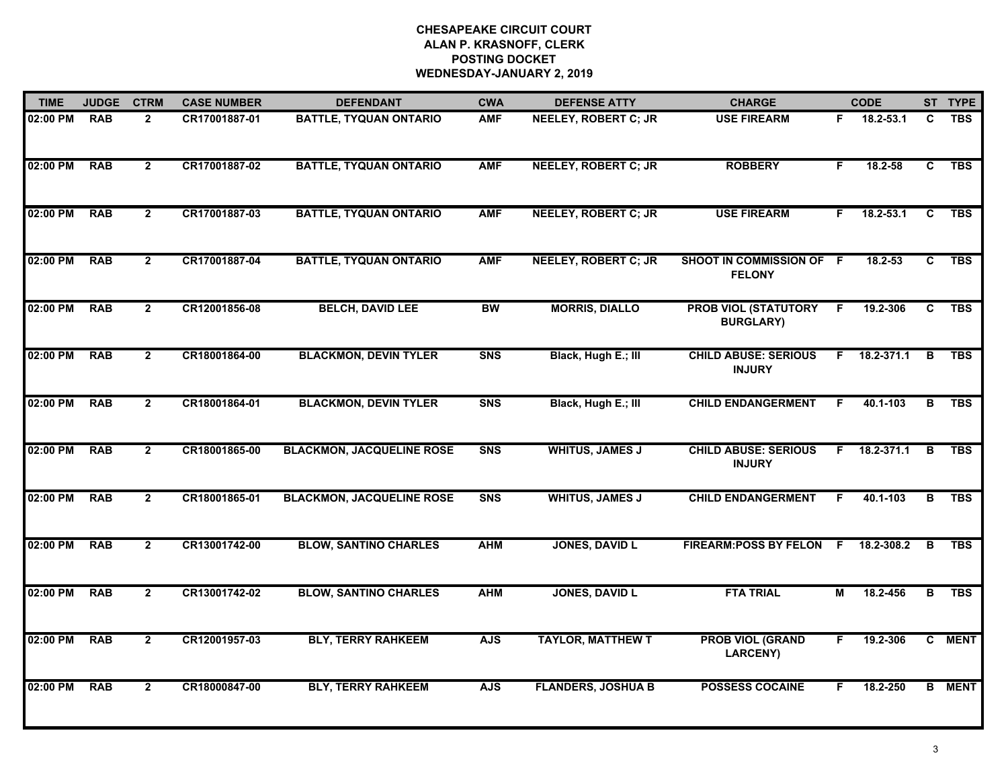| <b>TIME</b> | <b>JUDGE</b> | <b>CTRM</b>    | <b>CASE NUMBER</b> | <b>DEFENDANT</b>                 | <b>CWA</b>     | <b>DEFENSE ATTY</b>         | <b>CHARGE</b>                                   |    | <b>CODE</b> |    | ST TYPE       |
|-------------|--------------|----------------|--------------------|----------------------------------|----------------|-----------------------------|-------------------------------------------------|----|-------------|----|---------------|
| 02:00 PM    | <b>RAB</b>   | $\overline{2}$ | CR17001887-01      | <b>BATTLE, TYQUAN ONTARIO</b>    | <b>AMF</b>     | <b>NEELEY, ROBERT C; JR</b> | <b>USE FIREARM</b>                              | F. | 18.2-53.1   | C  | <b>TBS</b>    |
| 02:00 PM    | <b>RAB</b>   | $\overline{2}$ | CR17001887-02      | <b>BATTLE, TYQUAN ONTARIO</b>    | <b>AMF</b>     | <b>NEELEY, ROBERT C; JR</b> | <b>ROBBERY</b>                                  | F. | $18.2 - 58$ | C. | <b>TBS</b>    |
| 02:00 PM    | <b>RAB</b>   | $\overline{2}$ | CR17001887-03      | <b>BATTLE, TYQUAN ONTARIO</b>    | <b>AMF</b>     | <b>NEELEY, ROBERT C; JR</b> | <b>USE FIREARM</b>                              | F. | 18.2-53.1   | C  | <b>TBS</b>    |
| 02:00 PM    | <b>RAB</b>   | $\overline{2}$ | CR17001887-04      | <b>BATTLE, TYQUAN ONTARIO</b>    | <b>AMF</b>     | <b>NEELEY, ROBERT C; JR</b> | SHOOT IN COMMISSION OF F<br><b>FELONY</b>       |    | 18.2-53     | C. | <b>TBS</b>    |
| 02:00 PM    | <b>RAB</b>   | $\overline{2}$ | CR12001856-08      | <b>BELCH, DAVID LEE</b>          | <b>BW</b>      | <b>MORRIS, DIALLO</b>       | <b>PROB VIOL (STATUTORY</b><br><b>BURGLARY)</b> | F. | 19.2-306    | C  | <b>TBS</b>    |
| 02:00 PM    | <b>RAB</b>   | $\overline{2}$ | CR18001864-00      | <b>BLACKMON, DEVIN TYLER</b>     | <b>SNS</b>     | Black, Hugh E.; III         | <b>CHILD ABUSE: SERIOUS</b><br><b>INJURY</b>    | F. | 18.2-371.1  | B  | <b>TBS</b>    |
| 02:00 PM    | <b>RAB</b>   | $\overline{2}$ | CR18001864-01      | <b>BLACKMON, DEVIN TYLER</b>     | <b>SNS</b>     | Black, Hugh E.; III         | <b>CHILD ENDANGERMENT</b>                       | F  | 40.1-103    | в  | <b>TBS</b>    |
| 02:00 PM    | <b>RAB</b>   | $\overline{2}$ | CR18001865-00      | <b>BLACKMON, JACQUELINE ROSE</b> | <b>SNS</b>     | <b>WHITUS, JAMES J</b>      | <b>CHILD ABUSE: SERIOUS</b><br><b>INJURY</b>    | F  | 18.2-371.1  | B  | <b>TBS</b>    |
| 02:00 PM    | <b>RAB</b>   | $\overline{2}$ | CR18001865-01      | <b>BLACKMON, JACQUELINE ROSE</b> | S <sub>N</sub> | <b>WHITUS, JAMES J</b>      | <b>CHILD ENDANGERMENT</b>                       | F. | 40.1-103    | в  | <b>TBS</b>    |
| 02:00 PM    | <b>RAB</b>   | $\overline{2}$ | CR13001742-00      | <b>BLOW, SANTINO CHARLES</b>     | <b>AHM</b>     | <b>JONES, DAVID L</b>       | <b>FIREARM:POSS BY FELON</b>                    | F. | 18.2-308.2  | В  | <b>TBS</b>    |
| 02:00 PM    | <b>RAB</b>   | $\mathbf{2}$   | CR13001742-02      | <b>BLOW, SANTINO CHARLES</b>     | <b>AHM</b>     | <b>JONES, DAVID L</b>       | <b>FTA TRIAL</b>                                | М  | 18.2-456    | B  | <b>TBS</b>    |
| 02:00 PM    | <b>RAB</b>   | $\overline{2}$ | CR12001957-03      | <b>BLY, TERRY RAHKEEM</b>        | <b>AJS</b>     | <b>TAYLOR, MATTHEW T</b>    | <b>PROB VIOL (GRAND</b><br><b>LARCENY)</b>      | F. | 19.2-306    |    | C MENT        |
| 02:00 PM    | <b>RAB</b>   | $\overline{2}$ | CR18000847-00      | <b>BLY, TERRY RAHKEEM</b>        | <b>AJS</b>     | <b>FLANDERS, JOSHUA B</b>   | <b>POSSESS COCAINE</b>                          | F  | 18.2-250    |    | <b>B</b> MENT |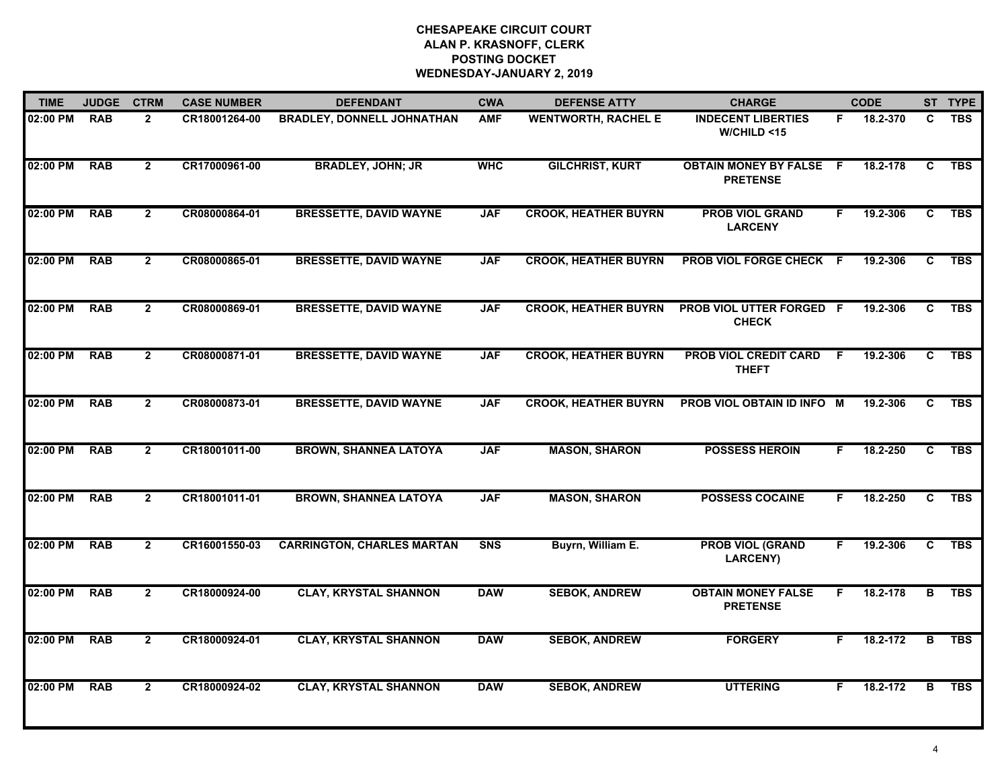| <b>TIME</b> | <b>JUDGE</b> | <b>CTRM</b>    | <b>CASE NUMBER</b> | <b>DEFENDANT</b>                  | <b>CWA</b>     | <b>DEFENSE ATTY</b>         | <b>CHARGE</b>                                     |    | <b>CODE</b> |                         | ST TYPE    |
|-------------|--------------|----------------|--------------------|-----------------------------------|----------------|-----------------------------|---------------------------------------------------|----|-------------|-------------------------|------------|
| 02:00 PM    | <b>RAB</b>   | $\overline{2}$ | CR18001264-00      | <b>BRADLEY, DONNELL JOHNATHAN</b> | <b>AMF</b>     | <b>WENTWORTH, RACHEL E</b>  | <b>INDECENT LIBERTIES</b><br>W/CHILD < 15         | F. | 18.2-370    | C                       | <b>TBS</b> |
| 02:00 PM    | <b>RAB</b>   | $\overline{2}$ | CR17000961-00      | <b>BRADLEY, JOHN; JR</b>          | <b>WHC</b>     | <b>GILCHRIST, KURT</b>      | <b>OBTAIN MONEY BY FALSE F</b><br><b>PRETENSE</b> |    | 18.2-178    | C                       | <b>TBS</b> |
| 02:00 PM    | <b>RAB</b>   | $\overline{2}$ | CR08000864-01      | <b>BRESSETTE, DAVID WAYNE</b>     | <b>JAF</b>     | <b>CROOK, HEATHER BUYRN</b> | <b>PROB VIOL GRAND</b><br><b>LARCENY</b>          | F. | 19.2-306    | $\overline{c}$          | <b>TBS</b> |
| 02:00 PM    | <b>RAB</b>   | $\overline{2}$ | CR08000865-01      | <b>BRESSETTE, DAVID WAYNE</b>     | <b>JAF</b>     | <b>CROOK, HEATHER BUYRN</b> | PROB VIOL FORGE CHECK F                           |    | 19.2-306    | C                       | <b>TBS</b> |
| 02:00 PM    | <b>RAB</b>   | $\overline{2}$ | CR08000869-01      | <b>BRESSETTE, DAVID WAYNE</b>     | <b>JAF</b>     | <b>CROOK, HEATHER BUYRN</b> | <b>PROB VIOL UTTER FORGED F</b><br><b>CHECK</b>   |    | 19.2-306    | C.                      | <b>TBS</b> |
| 02:00 PM    | <b>RAB</b>   | $\overline{2}$ | CR08000871-01      | <b>BRESSETTE, DAVID WAYNE</b>     | <b>JAF</b>     | <b>CROOK, HEATHER BUYRN</b> | <b>PROB VIOL CREDIT CARD</b><br><b>THEFT</b>      | F. | 19.2-306    | C                       | <b>TBS</b> |
| 02:00 PM    | <b>RAB</b>   | $\overline{2}$ | CR08000873-01      | <b>BRESSETTE, DAVID WAYNE</b>     | <b>JAF</b>     | <b>CROOK, HEATHER BUYRN</b> | PROB VIOL OBTAIN ID INFO M                        |    | 19.2-306    | C                       | <b>TBS</b> |
| 02:00 PM    | <b>RAB</b>   | $\overline{2}$ | CR18001011-00      | <b>BROWN, SHANNEA LATOYA</b>      | <b>JAF</b>     | <b>MASON, SHARON</b>        | <b>POSSESS HEROIN</b>                             | F. | 18.2-250    | C                       | <b>TBS</b> |
| 02:00 PM    | <b>RAB</b>   | $\mathbf{2}$   | CR18001011-01      | <b>BROWN, SHANNEA LATOYA</b>      | <b>JAF</b>     | <b>MASON, SHARON</b>        | <b>POSSESS COCAINE</b>                            | F. | 18.2-250    | C                       | <b>TBS</b> |
| 02:00 PM    | <b>RAB</b>   | $\overline{2}$ | CR16001550-03      | <b>CARRINGTON, CHARLES MARTAN</b> | S <sub>N</sub> | Buyrn, William E.           | <b>PROB VIOL (GRAND</b><br><b>LARCENY)</b>        | F. | 19.2-306    | C                       | <b>TBS</b> |
| 02:00 PM    | <b>RAB</b>   | $\mathbf{2}$   | CR18000924-00      | <b>CLAY, KRYSTAL SHANNON</b>      | <b>DAW</b>     | <b>SEBOK, ANDREW</b>        | <b>OBTAIN MONEY FALSE</b><br><b>PRETENSE</b>      | F. | 18.2-178    | $\overline{B}$          | <b>TBS</b> |
| 02:00 PM    | <b>RAB</b>   | $\mathbf{2}$   | CR18000924-01      | <b>CLAY, KRYSTAL SHANNON</b>      | <b>DAW</b>     | <b>SEBOK, ANDREW</b>        | <b>FORGERY</b>                                    | F. | 18.2-172    | $\overline{\mathbf{B}}$ | <b>TBS</b> |
| 02:00 PM    | <b>RAB</b>   | $\overline{2}$ | CR18000924-02      | <b>CLAY, KRYSTAL SHANNON</b>      | <b>DAW</b>     | <b>SEBOK, ANDREW</b>        | <b>UTTERING</b>                                   | F. | 18.2-172    | B                       | <b>TBS</b> |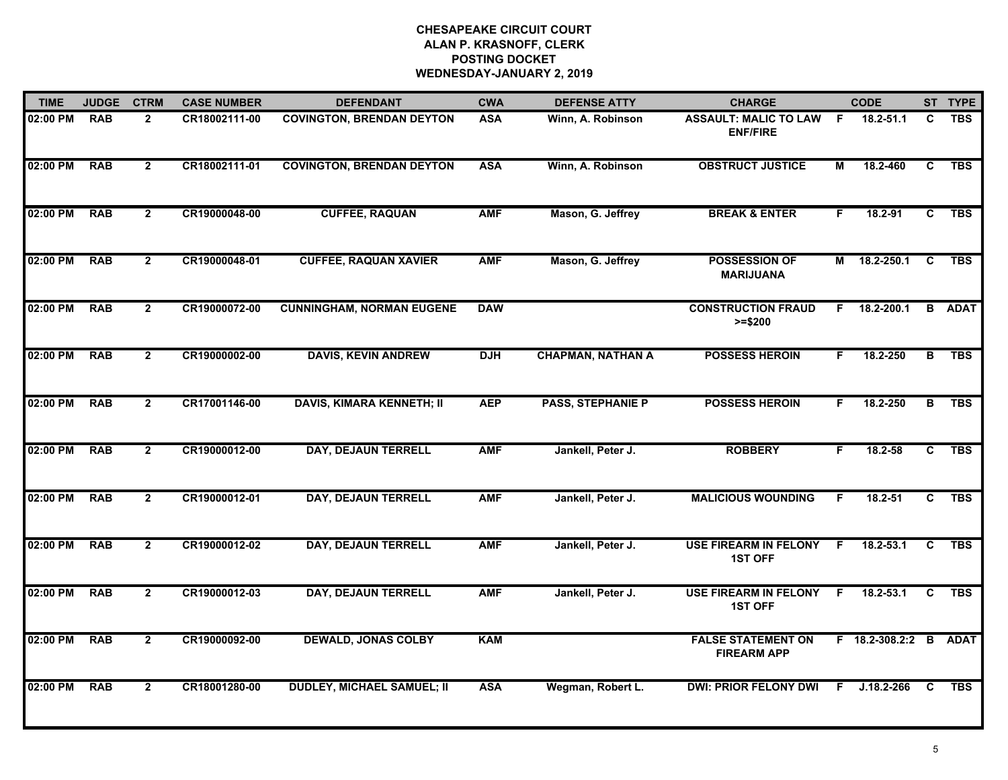| <b>TIME</b> | <b>JUDGE</b> | <b>CTRM</b>    | <b>CASE NUMBER</b> | <b>DEFENDANT</b>                  | <b>CWA</b> | <b>DEFENSE ATTY</b>      | <b>CHARGE</b>                                     |    | <b>CODE</b>           |                         | ST TYPE       |
|-------------|--------------|----------------|--------------------|-----------------------------------|------------|--------------------------|---------------------------------------------------|----|-----------------------|-------------------------|---------------|
| 02:00 PM    | <b>RAB</b>   | $\overline{2}$ | CR18002111-00      | <b>COVINGTON, BRENDAN DEYTON</b>  | <b>ASA</b> | Winn, A. Robinson        | <b>ASSAULT: MALIC TO LAW F</b><br><b>ENF/FIRE</b> |    | $18.2 - 51.1$         | C                       | <b>TBS</b>    |
| 02:00 PM    | <b>RAB</b>   | $\overline{2}$ | CR18002111-01      | <b>COVINGTON, BRENDAN DEYTON</b>  | <b>ASA</b> | Winn, A. Robinson        | <b>OBSTRUCT JUSTICE</b>                           | М  | 18.2-460              | C                       | <b>TBS</b>    |
| 02:00 PM    | <b>RAB</b>   | $\overline{2}$ | CR19000048-00      | <b>CUFFEE, RAQUAN</b>             | <b>AMF</b> | Mason, G. Jeffrey        | <b>BREAK &amp; ENTER</b>                          | F  | 18.2-91               | $\overline{c}$          | <b>TBS</b>    |
| 02:00 PM    | <b>RAB</b>   | $\mathbf{2}$   | CR19000048-01      | <b>CUFFEE, RAQUAN XAVIER</b>      | <b>AMF</b> | Mason, G. Jeffrey        | <b>POSSESSION OF</b><br><b>MARIJUANA</b>          | M  | 18.2-250.1            | $\mathbf{C}$            | <b>TBS</b>    |
| 02:00 PM    | <b>RAB</b>   | $\mathbf{2}$   | CR19000072-00      | <b>CUNNINGHAM, NORMAN EUGENE</b>  | <b>DAW</b> |                          | <b>CONSTRUCTION FRAUD</b><br>$>= $200$            | F. | $18.2 - 200.1$        |                         | <b>B</b> ADAT |
| 02:00 PM    | <b>RAB</b>   | $\overline{2}$ | CR19000002-00      | <b>DAVIS, KEVIN ANDREW</b>        | <b>DJH</b> | <b>CHAPMAN, NATHAN A</b> | <b>POSSESS HEROIN</b>                             | F. | 18.2-250              | в                       | <b>TBS</b>    |
| 02:00 PM    | <b>RAB</b>   | $\overline{2}$ | CR17001146-00      | <b>DAVIS, KIMARA KENNETH; II</b>  | <b>AEP</b> | <b>PASS, STEPHANIE P</b> | <b>POSSESS HEROIN</b>                             | F. | 18.2-250              | $\overline{\mathbf{B}}$ | <b>TBS</b>    |
| 02:00 PM    | <b>RAB</b>   | $\overline{2}$ | CR19000012-00      | DAY, DEJAUN TERRELL               | <b>AMF</b> | Jankell, Peter J.        | <b>ROBBERY</b>                                    | F  | 18.2-58               | $\overline{c}$          | <b>TBS</b>    |
| 02:00 PM    | <b>RAB</b>   | $\overline{2}$ | CR19000012-01      | <b>DAY, DEJAUN TERRELL</b>        | <b>AMF</b> | Jankell, Peter J.        | <b>MALICIOUS WOUNDING</b>                         | F. | 18.2-51               | C                       | <b>TBS</b>    |
| 02:00 PM    | <b>RAB</b>   | $\overline{2}$ | CR19000012-02      | DAY, DEJAUN TERRELL               | <b>AMF</b> | Jankell, Peter J.        | <b>USE FIREARM IN FELONY</b><br><b>1ST OFF</b>    | -F | $18.2 - 53.1$         | C                       | <b>TBS</b>    |
| 02:00 PM    | <b>RAB</b>   | $\mathbf{2}$   | CR19000012-03      | <b>DAY, DEJAUN TERRELL</b>        | <b>AMF</b> | Jankell, Peter J.        | USE FIREARM IN FELONY F<br><b>1ST OFF</b>         |    | $18.2 - 53.1$         | C                       | <b>TBS</b>    |
| 02:00 PM    | <b>RAB</b>   | $\overline{2}$ | CR19000092-00      | <b>DEWALD, JONAS COLBY</b>        | <b>KAM</b> |                          | <b>FALSE STATEMENT ON</b><br><b>FIREARM APP</b>   |    | F 18.2-308.2:2 B ADAT |                         |               |
| 02:00 PM    | <b>RAB</b>   | $\overline{2}$ | CR18001280-00      | <b>DUDLEY, MICHAEL SAMUEL; II</b> | <b>ASA</b> | Wegman, Robert L.        | <b>DWI: PRIOR FELONY DWI</b>                      | F. | $J.18.2 - 266$        | C                       | <b>TBS</b>    |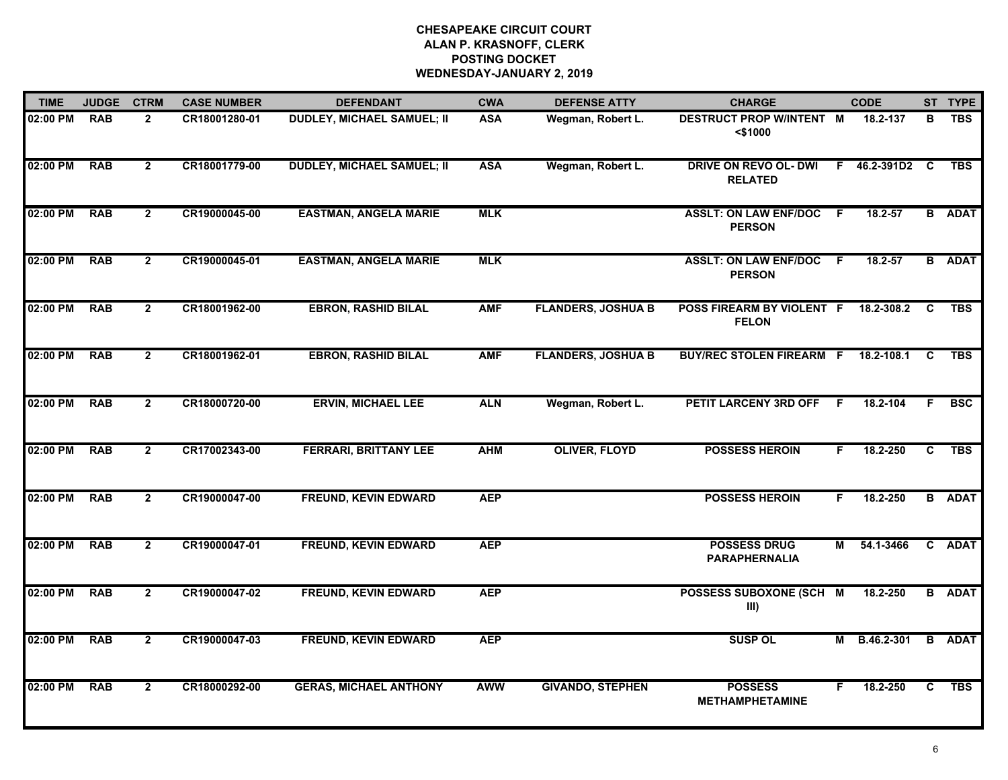| <b>TIME</b> | <b>JUDGE</b> | <b>CTRM</b>    | <b>CASE NUMBER</b> | <b>DEFENDANT</b>                  | <b>CWA</b> | <b>DEFENSE ATTY</b>       | <b>CHARGE</b>                                  |    | <b>CODE</b>    |                | ST TYPE       |
|-------------|--------------|----------------|--------------------|-----------------------------------|------------|---------------------------|------------------------------------------------|----|----------------|----------------|---------------|
| 02:00 PM    | <b>RAB</b>   | $\mathbf{2}$   | CR18001280-01      | <b>DUDLEY, MICHAEL SAMUEL; II</b> | <b>ASA</b> | Wegman, Robert L.         | <b>DESTRUCT PROP WINTENT M</b><br>$<$ \$1000   |    | 18.2-137       | В              | <b>TBS</b>    |
| 02:00 PM    | <b>RAB</b>   | $\overline{2}$ | CR18001779-00      | <b>DUDLEY, MICHAEL SAMUEL; II</b> | <b>ASA</b> | Wegman, Robert L.         | <b>DRIVE ON REVO OL- DWI</b><br><b>RELATED</b> |    | F 46.2-391D2 C |                | <b>TBS</b>    |
| 02:00 PM    | <b>RAB</b>   | $\overline{2}$ | CR19000045-00      | <b>EASTMAN, ANGELA MARIE</b>      | <b>MLK</b> |                           | <b>ASSLT: ON LAW ENF/DOC</b><br><b>PERSON</b>  | -F | 18.2-57        |                | <b>B</b> ADAT |
| 02:00 PM    | <b>RAB</b>   | $\overline{2}$ | CR19000045-01      | <b>EASTMAN, ANGELA MARIE</b>      | <b>MLK</b> |                           | <b>ASSLT: ON LAW ENF/DOC</b><br><b>PERSON</b>  | -F | 18.2-57        |                | <b>B</b> ADAT |
| 02:00 PM    | <b>RAB</b>   | $\overline{2}$ | CR18001962-00      | <b>EBRON, RASHID BILAL</b>        | <b>AMF</b> | <b>FLANDERS, JOSHUA B</b> | POSS FIREARM BY VIOLENT F<br><b>FELON</b>      |    | 18.2-308.2     | C              | <b>TBS</b>    |
| 02:00 PM    | <b>RAB</b>   | $\mathbf{2}$   | CR18001962-01      | <b>EBRON, RASHID BILAL</b>        | <b>AMF</b> | <b>FLANDERS, JOSHUA B</b> | <b>BUY/REC STOLEN FIREARM F</b>                |    | 18.2-108.1     | C              | <b>TBS</b>    |
| 02:00 PM    | <b>RAB</b>   | $\overline{2}$ | CR18000720-00      | <b>ERVIN, MICHAEL LEE</b>         | <b>ALN</b> | Wegman, Robert L.         | <b>PETIT LARCENY 3RD OFF</b>                   | F. | 18.2-104       | F              | <b>BSC</b>    |
| 02:00 PM    | <b>RAB</b>   | $\overline{2}$ | CR17002343-00      | <b>FERRARI, BRITTANY LEE</b>      | <b>AHM</b> | <b>OLIVER, FLOYD</b>      | <b>POSSESS HEROIN</b>                          | F  | 18.2-250       | C              | <b>TBS</b>    |
| 02:00 PM    | <b>RAB</b>   | $\overline{2}$ | CR19000047-00      | <b>FREUND, KEVIN EDWARD</b>       | <b>AEP</b> |                           | <b>POSSESS HEROIN</b>                          | F. | 18.2-250       |                | <b>B</b> ADAT |
| 02:00 PM    | <b>RAB</b>   | $\overline{2}$ | CR19000047-01      | <b>FREUND, KEVIN EDWARD</b>       | <b>AEP</b> |                           | <b>POSSESS DRUG</b><br><b>PARAPHERNALIA</b>    | М  | 54.1-3466      |                | C ADAT        |
| 02:00 PM    | <b>RAB</b>   | $\overline{2}$ | CR19000047-02      | <b>FREUND, KEVIN EDWARD</b>       | <b>AEP</b> |                           | POSSESS SUBOXONE (SCH M<br>III)                |    | 18.2-250       |                | <b>B</b> ADAT |
| 02:00 PM    | <b>RAB</b>   | $\overline{2}$ | CR19000047-03      | <b>FREUND, KEVIN EDWARD</b>       | <b>AEP</b> |                           | <b>SUSP OL</b>                                 | M  | B.46.2-301     | $\overline{B}$ | <b>ADAT</b>   |
| 02:00 PM    | <b>RAB</b>   | $\overline{2}$ | CR18000292-00      | <b>GERAS, MICHAEL ANTHONY</b>     | <b>AWW</b> | <b>GIVANDO, STEPHEN</b>   | <b>POSSESS</b><br><b>METHAMPHETAMINE</b>       | F. | 18.2-250       | C.             | <b>TBS</b>    |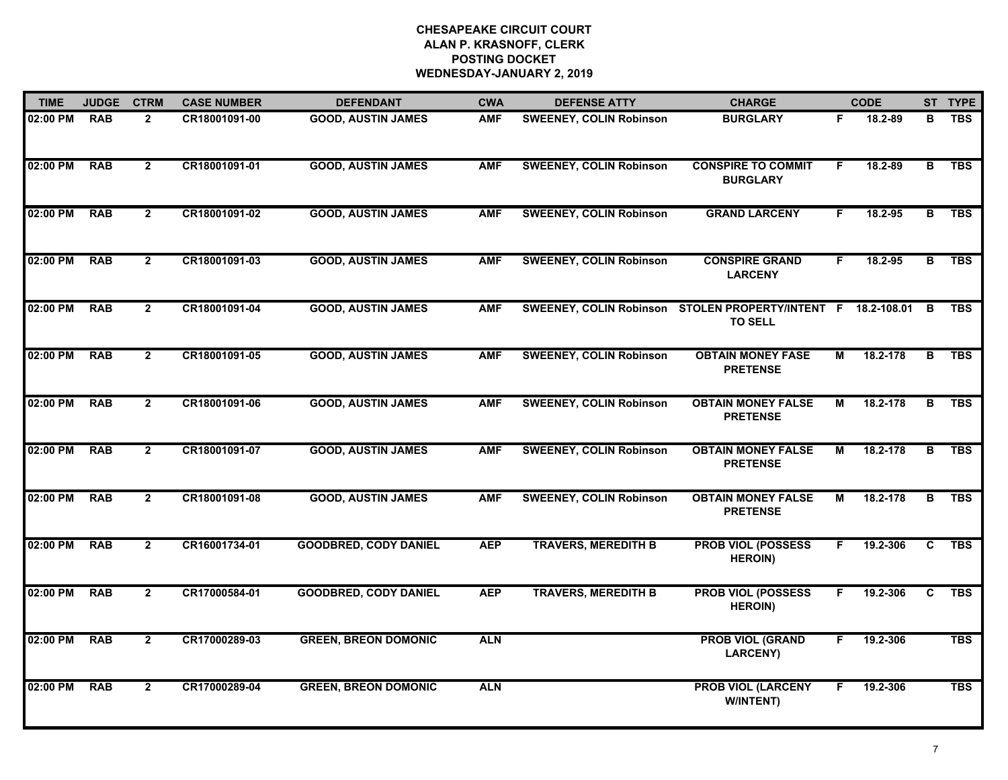| <b>TIME</b> | <b>JUDGE</b> | <b>CTRM</b>    | <b>CASE NUMBER</b> | <b>DEFENDANT</b>             | <b>CWA</b> | <b>DEFENSE ATTY</b>            | <b>CHARGE</b>                                                                  |    | <b>CODE</b> |    | ST TYPE    |
|-------------|--------------|----------------|--------------------|------------------------------|------------|--------------------------------|--------------------------------------------------------------------------------|----|-------------|----|------------|
| 02:00 PM    | <b>RAB</b>   | $\mathbf{2}$   | CR18001091-00      | <b>GOOD, AUSTIN JAMES</b>    | <b>AMF</b> | <b>SWEENEY, COLIN Robinson</b> | <b>BURGLARY</b>                                                                | F. | 18.2-89     | в  | <b>TBS</b> |
| 02:00 PM    | <b>RAB</b>   | $\overline{2}$ | CR18001091-01      | <b>GOOD, AUSTIN JAMES</b>    | <b>AMF</b> | <b>SWEENEY, COLIN Robinson</b> | <b>CONSPIRE TO COMMIT</b><br><b>BURGLARY</b>                                   | F. | 18.2-89     | в  | <b>TBS</b> |
| 02:00 PM    | <b>RAB</b>   | $\mathbf{2}$   | CR18001091-02      | <b>GOOD, AUSTIN JAMES</b>    | <b>AMF</b> | <b>SWEENEY, COLIN Robinson</b> | <b>GRAND LARCENY</b>                                                           | F. | 18.2-95     | в  | <b>TBS</b> |
| 02:00 PM    | <b>RAB</b>   | $\mathbf{2}$   | CR18001091-03      | <b>GOOD, AUSTIN JAMES</b>    | <b>AMF</b> | <b>SWEENEY, COLIN Robinson</b> | <b>CONSPIRE GRAND</b><br><b>LARCENY</b>                                        | F. | 18.2-95     | в  | <b>TBS</b> |
| 02:00 PM    | <b>RAB</b>   | $\mathbf{2}$   | CR18001091-04      | <b>GOOD, AUSTIN JAMES</b>    | <b>AMF</b> |                                | SWEENEY, COLIN Robinson STOLEN PROPERTY/INTENT F 18.2-108.01<br><b>TO SELL</b> |    |             | в  | <b>TBS</b> |
| 02:00 PM    | <b>RAB</b>   | $\overline{2}$ | CR18001091-05      | <b>GOOD, AUSTIN JAMES</b>    | <b>AMF</b> | <b>SWEENEY, COLIN Robinson</b> | <b>OBTAIN MONEY FASE</b><br><b>PRETENSE</b>                                    | М  | 18.2-178    | В  | <b>TBS</b> |
| 02:00 PM    | <b>RAB</b>   | $\overline{2}$ | CR18001091-06      | <b>GOOD, AUSTIN JAMES</b>    | <b>AMF</b> | <b>SWEENEY, COLIN Robinson</b> | <b>OBTAIN MONEY FALSE</b><br><b>PRETENSE</b>                                   | М  | 18.2-178    | B  | <b>TBS</b> |
| 02:00 PM    | <b>RAB</b>   | $\overline{2}$ | CR18001091-07      | <b>GOOD, AUSTIN JAMES</b>    | <b>AMF</b> | <b>SWEENEY, COLIN Robinson</b> | <b>OBTAIN MONEY FALSE</b><br><b>PRETENSE</b>                                   | М  | 18.2-178    | B  | <b>TBS</b> |
| 02:00 PM    | <b>RAB</b>   | $\overline{2}$ | CR18001091-08      | <b>GOOD, AUSTIN JAMES</b>    | <b>AMF</b> | <b>SWEENEY, COLIN Robinson</b> | <b>OBTAIN MONEY FALSE</b><br><b>PRETENSE</b>                                   | М  | 18.2-178    | в  | <b>TBS</b> |
| 02:00 PM    | <b>RAB</b>   | $\overline{2}$ | CR16001734-01      | <b>GOODBRED, CODY DANIEL</b> | <b>AEP</b> | <b>TRAVERS, MEREDITH B</b>     | <b>PROB VIOL (POSSESS</b><br><b>HEROIN)</b>                                    | F. | 19.2-306    | C. | <b>TBS</b> |
| 02:00 PM    | <b>RAB</b>   | $\mathbf{2}$   | CR17000584-01      | <b>GOODBRED, CODY DANIEL</b> | <b>AEP</b> | <b>TRAVERS, MEREDITH B</b>     | <b>PROB VIOL (POSSESS</b><br><b>HEROIN)</b>                                    | F. | 19.2-306    | C. | <b>TBS</b> |
| 02:00 PM    | <b>RAB</b>   | $\overline{2}$ | CR17000289-03      | <b>GREEN, BREON DOMONIC</b>  | <b>ALN</b> |                                | <b>PROB VIOL (GRAND</b><br><b>LARCENY)</b>                                     | F  | 19.2-306    |    | <b>TBS</b> |
| 02:00 PM    | <b>RAB</b>   | $\overline{2}$ | CR17000289-04      | <b>GREEN, BREON DOMONIC</b>  | <b>ALN</b> |                                | <b>PROB VIOL (LARCENY</b><br>W/INTENT)                                         | F. | 19.2-306    |    | <b>TBS</b> |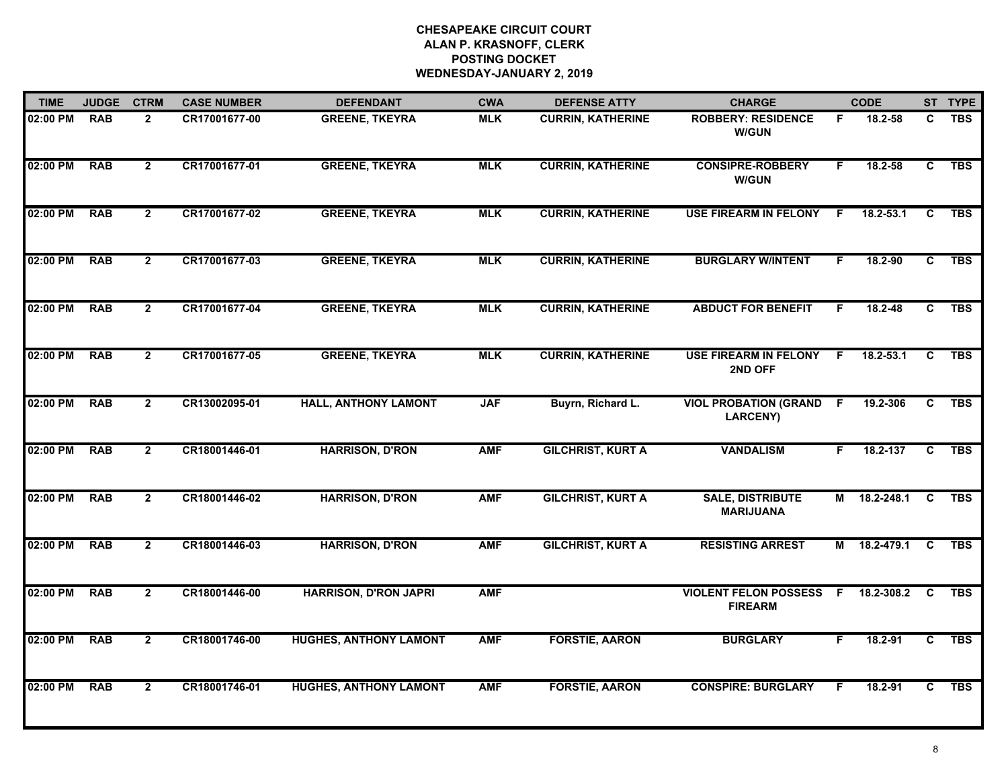| <b>TIME</b> | <b>JUDGE</b> | <b>CTRM</b>    | <b>CASE NUMBER</b> | <b>DEFENDANT</b>              | <b>CWA</b> | <b>DEFENSE ATTY</b>      | <b>CHARGE</b>                                     |                | <b>CODE</b>   |    | ST TYPE    |
|-------------|--------------|----------------|--------------------|-------------------------------|------------|--------------------------|---------------------------------------------------|----------------|---------------|----|------------|
| 02:00 PM    | <b>RAB</b>   | $\overline{2}$ | CR17001677-00      | <b>GREENE, TKEYRA</b>         | <b>MLK</b> | <b>CURRIN, KATHERINE</b> | <b>ROBBERY: RESIDENCE</b><br><b>W/GUN</b>         | F.             | 18.2-58       | C  | <b>TBS</b> |
| 02:00 PM    | <b>RAB</b>   | $\overline{2}$ | CR17001677-01      | <b>GREENE, TKEYRA</b>         | <b>MLK</b> | <b>CURRIN, KATHERINE</b> | <b>CONSIPRE-ROBBERY</b><br><b>W/GUN</b>           | F.             | 18.2-58       | C  | <b>TBS</b> |
| 02:00 PM    | <b>RAB</b>   | $\overline{2}$ | CR17001677-02      | <b>GREENE, TKEYRA</b>         | <b>MLK</b> | <b>CURRIN, KATHERINE</b> | <b>USE FIREARM IN FELONY</b>                      | F              | 18.2-53.1     | C  | <b>TBS</b> |
| 02:00 PM    | <b>RAB</b>   | $\mathbf{2}$   | CR17001677-03      | <b>GREENE, TKEYRA</b>         | <b>MLK</b> | <b>CURRIN, KATHERINE</b> | <b>BURGLARY W/INTENT</b>                          | F.             | 18.2-90       | C  | <b>TBS</b> |
| 02:00 PM    | <b>RAB</b>   | $\overline{2}$ | CR17001677-04      | <b>GREENE, TKEYRA</b>         | <b>MLK</b> | <b>CURRIN, KATHERINE</b> | <b>ABDUCT FOR BENEFIT</b>                         | F.             | 18.2-48       | C. | <b>TBS</b> |
| 02:00 PM    | <b>RAB</b>   | $\mathbf{2}$   | CR17001677-05      | <b>GREENE, TKEYRA</b>         | <b>MLK</b> | <b>CURRIN, KATHERINE</b> | <b>USE FIREARM IN FELONY</b><br>2ND OFF           | F.             | $18.2 - 53.1$ | C  | <b>TBS</b> |
| 02:00 PM    | <b>RAB</b>   | $\overline{2}$ | CR13002095-01      | <b>HALL, ANTHONY LAMONT</b>   | <b>JAF</b> | Buyrn, Richard L.        | <b>VIOL PROBATION (GRAND F</b><br><b>LARCENY)</b> |                | 19.2-306      | C  | <b>TBS</b> |
| 02:00 PM    | <b>RAB</b>   | $\overline{2}$ | CR18001446-01      | <b>HARRISON, D'RON</b>        | <b>AMF</b> | <b>GILCHRIST, KURT A</b> | <b>VANDALISM</b>                                  | F.             | 18.2-137      | C  | <b>TBS</b> |
| 02:00 PM    | <b>RAB</b>   | $\overline{2}$ | CR18001446-02      | <b>HARRISON, D'RON</b>        | <b>AMF</b> | <b>GILCHRIST, KURT A</b> | <b>SALE, DISTRIBUTE</b><br><b>MARIJUANA</b>       | М              | 18.2-248.1    | C  | <b>TBS</b> |
| 02:00 PM    | <b>RAB</b>   | $\overline{2}$ | CR18001446-03      | <b>HARRISON, D'RON</b>        | <b>AMF</b> | <b>GILCHRIST, KURT A</b> | <b>RESISTING ARREST</b>                           | М              | 18.2-479.1    | C  | <b>TBS</b> |
| 02:00 PM    | <b>RAB</b>   | $\mathbf{2}$   | CR18001446-00      | <b>HARRISON, D'RON JAPRI</b>  | <b>AMF</b> |                          | <b>VIOLENT FELON POSSESS</b><br><b>FIREARM</b>    | $\overline{F}$ | 18.2-308.2    | C  | <b>TBS</b> |
| 02:00 PM    | <b>RAB</b>   | $\mathbf{2}$   | CR18001746-00      | <b>HUGHES, ANTHONY LAMONT</b> | <b>AMF</b> | <b>FORSTIE, AARON</b>    | <b>BURGLARY</b>                                   | F.             | 18.2-91       | C  | <b>TBS</b> |
| 02:00 PM    | <b>RAB</b>   | $\overline{2}$ | CR18001746-01      | <b>HUGHES, ANTHONY LAMONT</b> | <b>AMF</b> | <b>FORSTIE, AARON</b>    | <b>CONSPIRE: BURGLARY</b>                         | F              | 18.2-91       | C  | <b>TBS</b> |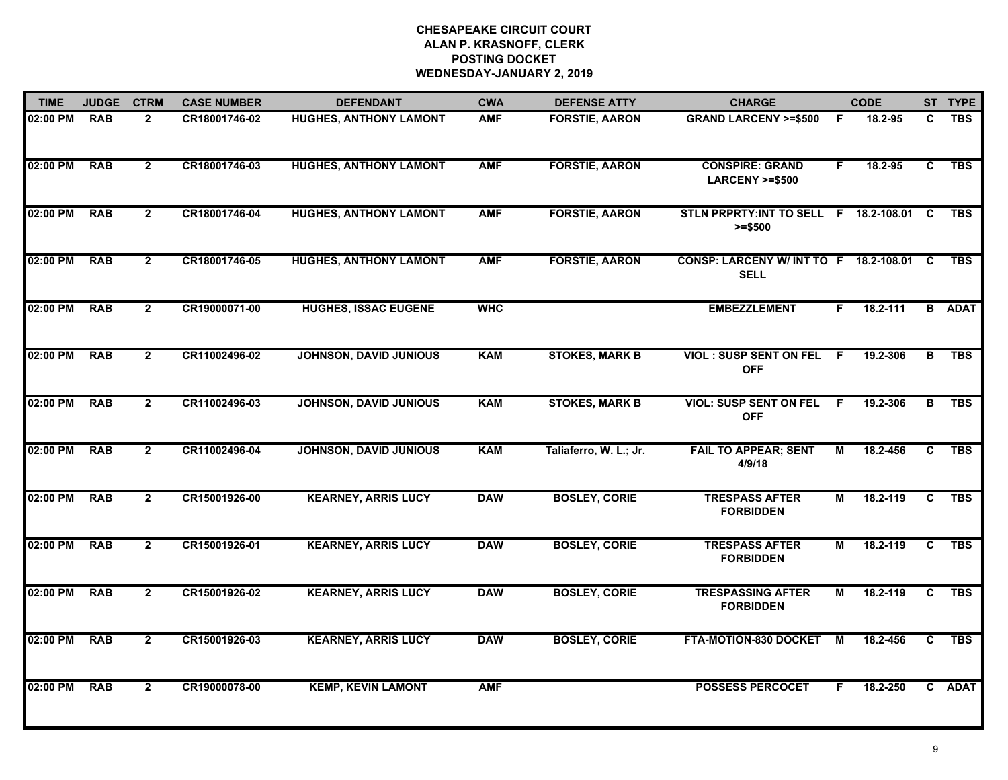| <b>TIME</b> | <b>JUDGE</b> | <b>CTRM</b>    | <b>CASE NUMBER</b> | <b>DEFENDANT</b>              | <b>CWA</b> | <b>DEFENSE ATTY</b>    | <b>CHARGE</b>                                           |    | <b>CODE</b> |                | ST TYPE       |
|-------------|--------------|----------------|--------------------|-------------------------------|------------|------------------------|---------------------------------------------------------|----|-------------|----------------|---------------|
| 02:00 PM    | <b>RAB</b>   | $\overline{2}$ | CR18001746-02      | HUGHES, ANTHONY LAMONT        | <b>AMF</b> | <b>FORSTIE, AARON</b>  | <b>GRAND LARCENY &gt;=\$500</b>                         | F. | 18.2-95     | C.             | <b>TBS</b>    |
| 02:00 PM    | <b>RAB</b>   | $\overline{2}$ | CR18001746-03      | <b>HUGHES, ANTHONY LAMONT</b> | <b>AMF</b> | <b>FORSTIE, AARON</b>  | <b>CONSPIRE: GRAND</b><br><b>LARCENY &gt;=\$500</b>     | F. | 18.2-95     | C              | <b>TBS</b>    |
| 02:00 PM    | <b>RAB</b>   | $\overline{2}$ | CR18001746-04      | <b>HUGHES, ANTHONY LAMONT</b> | <b>AMF</b> | <b>FORSTIE, AARON</b>  | STLN PRPRTY: INT TO SELL F 18.2-108.01<br>$>= $500$     |    |             | - C            | <b>TBS</b>    |
| 02:00 PM    | <b>RAB</b>   | $\overline{2}$ | CR18001746-05      | <b>HUGHES, ANTHONY LAMONT</b> | <b>AMF</b> | <b>FORSTIE, AARON</b>  | CONSP: LARCENY W/ INT TO F 18.2-108.01 C<br><b>SELL</b> |    |             |                | <b>TBS</b>    |
| 02:00 PM    | <b>RAB</b>   | $\overline{2}$ | CR19000071-00      | <b>HUGHES, ISSAC EUGENE</b>   | <b>WHC</b> |                        | <b>EMBEZZLEMENT</b>                                     | F. | 18.2-111    |                | <b>B</b> ADAT |
| 02:00 PM    | <b>RAB</b>   | $\mathbf{2}$   | CR11002496-02      | <b>JOHNSON, DAVID JUNIOUS</b> | <b>KAM</b> | <b>STOKES, MARK B</b>  | VIOL: SUSP SENT ON FEL F<br><b>OFF</b>                  |    | 19.2-306    | B              | <b>TBS</b>    |
| 02:00 PM    | <b>RAB</b>   | $\overline{2}$ | CR11002496-03      | <b>JOHNSON, DAVID JUNIOUS</b> | <b>KAM</b> | <b>STOKES, MARK B</b>  | <b>VIOL: SUSP SENT ON FEL</b><br><b>OFF</b>             | F. | 19.2-306    | в              | <b>TBS</b>    |
| 02:00 PM    | <b>RAB</b>   | $\overline{2}$ | CR11002496-04      | <b>JOHNSON, DAVID JUNIOUS</b> | <b>KAM</b> | Taliaferro, W. L.; Jr. | <b>FAIL TO APPEAR; SENT</b><br>4/9/18                   | М  | 18.2-456    | C              | <b>TBS</b>    |
| 02:00 PM    | <b>RAB</b>   | $\overline{2}$ | CR15001926-00      | <b>KEARNEY, ARRIS LUCY</b>    | <b>DAW</b> | <b>BOSLEY, CORIE</b>   | <b>TRESPASS AFTER</b><br><b>FORBIDDEN</b>               | М  | 18.2-119    | C              | <b>TBS</b>    |
| 02:00 PM    | <b>RAB</b>   | $\overline{2}$ | CR15001926-01      | <b>KEARNEY, ARRIS LUCY</b>    | <b>DAW</b> | <b>BOSLEY, CORIE</b>   | <b>TRESPASS AFTER</b><br><b>FORBIDDEN</b>               | М  | 18.2-119    | C              | <b>TBS</b>    |
| 02:00 PM    | <b>RAB</b>   | $\overline{2}$ | CR15001926-02      | <b>KEARNEY, ARRIS LUCY</b>    | <b>DAW</b> | <b>BOSLEY, CORIE</b>   | <b>TRESPASSING AFTER</b><br><b>FORBIDDEN</b>            | М  | 18.2-119    | C              | <b>TBS</b>    |
| 02:00 PM    | <b>RAB</b>   | $\overline{2}$ | CR15001926-03      | <b>KEARNEY, ARRIS LUCY</b>    | <b>DAW</b> | <b>BOSLEY, CORIE</b>   | FTA-MOTION-830 DOCKET                                   | M  | 18.2-456    | $\overline{c}$ | <b>TBS</b>    |
| 02:00 PM    | <b>RAB</b>   | $\mathbf{2}$   | CR19000078-00      | <b>KEMP, KEVIN LAMONT</b>     | <b>AMF</b> |                        | <b>POSSESS PERCOCET</b>                                 | F. | 18.2-250    |                | C ADAT        |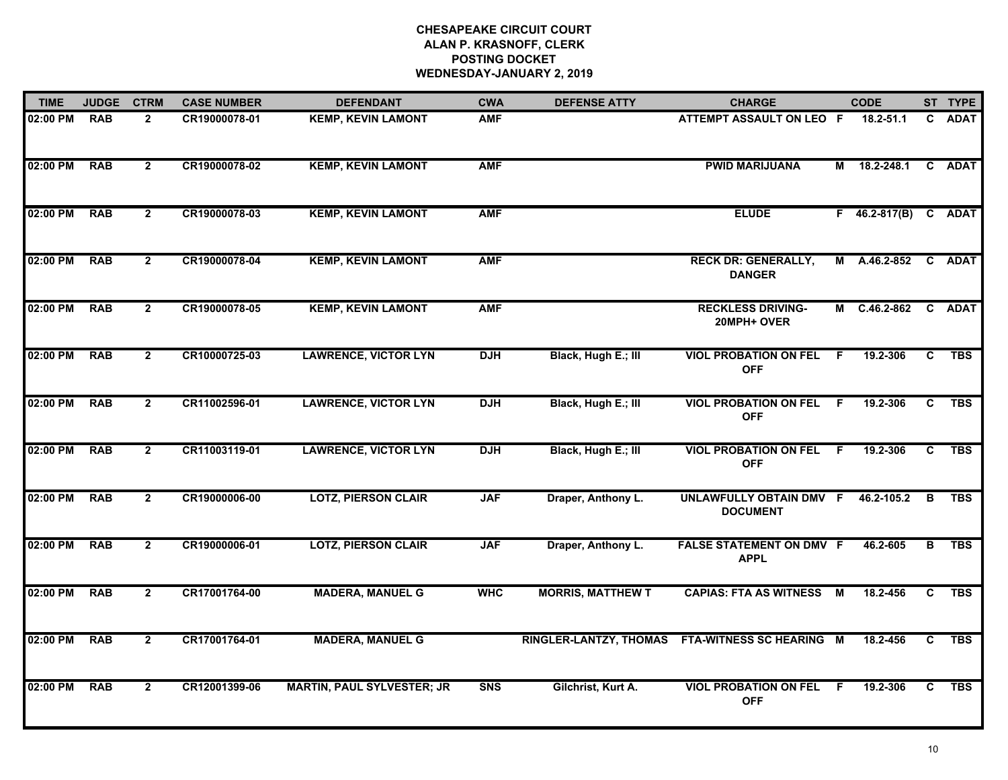| <b>TIME</b> | <b>JUDGE</b> | <b>CTRM</b>    | <b>CASE NUMBER</b> | <b>DEFENDANT</b>                  | <b>CWA</b> | <b>DEFENSE ATTY</b>           | <b>CHARGE</b>                                  |    | <b>CODE</b>          |              | ST TYPE     |
|-------------|--------------|----------------|--------------------|-----------------------------------|------------|-------------------------------|------------------------------------------------|----|----------------------|--------------|-------------|
| 02:00 PM    | <b>RAB</b>   | $\mathbf{2}$   | CR19000078-01      | <b>KEMP, KEVIN LAMONT</b>         | <b>AMF</b> |                               | ATTEMPT ASSAULT ON LEO F                       |    | $18.2 - 51.1$        | C.           | <b>ADAT</b> |
| 02:00 PM    | <b>RAB</b>   | $\overline{2}$ | CR19000078-02      | <b>KEMP, KEVIN LAMONT</b>         | <b>AMF</b> |                               | <b>PWID MARIJUANA</b>                          | М  | 18.2-248.1           | $\mathbf{C}$ | <b>ADAT</b> |
| 02:00 PM    | <b>RAB</b>   | $\mathbf{2}$   | CR19000078-03      | <b>KEMP, KEVIN LAMONT</b>         | <b>AMF</b> |                               | <b>ELUDE</b>                                   |    | F 46.2-817(B) C ADAT |              |             |
| 02:00 PM    | <b>RAB</b>   | $\mathbf{2}$   | CR19000078-04      | <b>KEMP, KEVIN LAMONT</b>         | <b>AMF</b> |                               | <b>RECK DR: GENERALLY,</b><br><b>DANGER</b>    |    | M A.46.2-852 C ADAT  |              |             |
| 02:00 PM    | <b>RAB</b>   | $\overline{2}$ | CR19000078-05      | <b>KEMP, KEVIN LAMONT</b>         | <b>AMF</b> |                               | <b>RECKLESS DRIVING-</b><br>20MPH+ OVER        |    | M C.46.2-862         |              | C ADAT      |
| 02:00 PM    | <b>RAB</b>   | $\mathbf{2}$   | CR10000725-03      | <b>LAWRENCE, VICTOR LYN</b>       | <b>DJH</b> | Black, Hugh E.; III           | <b>VIOL PROBATION ON FEL</b><br><b>OFF</b>     | F. | 19.2-306             | C            | <b>TBS</b>  |
| 02:00 PM    | <b>RAB</b>   | $\mathbf{2}$   | CR11002596-01      | <b>LAWRENCE, VICTOR LYN</b>       | <b>DJH</b> | Black, Hugh E.; III           | <b>VIOL PROBATION ON FEL</b><br><b>OFF</b>     | F. | 19.2-306             | C            | <b>TBS</b>  |
| 02:00 PM    | <b>RAB</b>   | $\mathbf{2}$   | CR11003119-01      | <b>LAWRENCE, VICTOR LYN</b>       | <b>DJH</b> | Black, Hugh E.; III           | <b>VIOL PROBATION ON FEL</b><br><b>OFF</b>     | -F | 19.2-306             | C            | <b>TBS</b>  |
| 02:00 PM    | <b>RAB</b>   | $\overline{2}$ | CR19000006-00      | <b>LOTZ, PIERSON CLAIR</b>        | <b>JAF</b> | Draper, Anthony L.            | UNLAWFULLY OBTAIN DMV F<br><b>DOCUMENT</b>     |    | 46.2-105.2           | в            | <b>TBS</b>  |
| 02:00 PM    | <b>RAB</b>   | $\overline{2}$ | CR19000006-01      | <b>LOTZ, PIERSON CLAIR</b>        | <b>JAF</b> | Draper, Anthony L.            | <b>FALSE STATEMENT ON DMV F</b><br><b>APPL</b> |    | 46.2-605             | в            | <b>TBS</b>  |
| 02:00 PM    | <b>RAB</b>   | $\overline{2}$ | CR17001764-00      | <b>MADERA, MANUEL G</b>           | <b>WHC</b> | <b>MORRIS, MATTHEW T</b>      | <b>CAPIAS: FTA AS WITNESS M</b>                |    | 18.2-456             | C            | <b>TBS</b>  |
| 02:00 PM    | <b>RAB</b>   | $\overline{2}$ | CR17001764-01      | <b>MADERA, MANUEL G</b>           |            | <b>RINGLER-LANTZY, THOMAS</b> | FTA-WITNESS SC HEARING M                       |    | 18.2-456             | C            | <b>TBS</b>  |
| 02:00 PM    | <b>RAB</b>   | $\mathbf{2}$   | CR12001399-06      | <b>MARTIN, PAUL SYLVESTER; JR</b> | <b>SNS</b> | Gilchrist, Kurt A.            | <b>VIOL PROBATION ON FEL</b><br><b>OFF</b>     | -F | 19.2-306             | C.           | <b>TBS</b>  |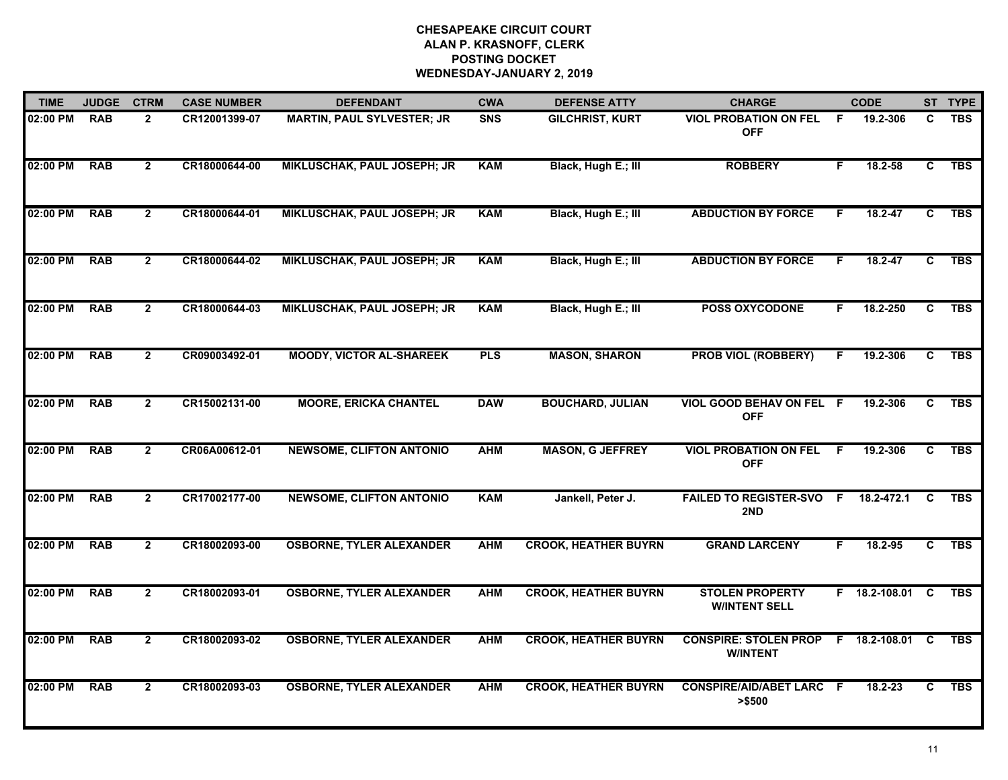| <b>TIME</b> | <b>JUDGE</b> | <b>CTRM</b>    | <b>CASE NUMBER</b> | <b>DEFENDANT</b>                   | <b>CWA</b> | <b>DEFENSE ATTY</b>         | <b>CHARGE</b>                                   |    | <b>CODE</b>     |                | ST TYPE    |
|-------------|--------------|----------------|--------------------|------------------------------------|------------|-----------------------------|-------------------------------------------------|----|-----------------|----------------|------------|
| 02:00 PM    | <b>RAB</b>   | $\mathbf{2}$   | CR12001399-07      | <b>MARTIN, PAUL SYLVESTER; JR</b>  | <b>SNS</b> | <b>GILCHRIST, KURT</b>      | <b>VIOL PROBATION ON FEL</b><br><b>OFF</b>      | -F | 19.2-306        | C              | <b>TBS</b> |
| 02:00 PM    | <b>RAB</b>   | $\mathbf{2}$   | CR18000644-00      | <b>MIKLUSCHAK, PAUL JOSEPH; JR</b> | <b>KAM</b> | Black, Hugh E.; III         | <b>ROBBERY</b>                                  | F. | $18.2 - 58$     | C.             | <b>TBS</b> |
| 02:00 PM    | <b>RAB</b>   | $\mathbf{2}$   | CR18000644-01      | <b>MIKLUSCHAK, PAUL JOSEPH; JR</b> | <b>KAM</b> | Black, Hugh E.; III         | <b>ABDUCTION BY FORCE</b>                       | F. | 18.2-47         | C.             | <b>TBS</b> |
| 02:00 PM    | <b>RAB</b>   | $\mathbf{2}$   | CR18000644-02      | <b>MIKLUSCHAK, PAUL JOSEPH; JR</b> | <b>KAM</b> | Black, Hugh E.; III         | <b>ABDUCTION BY FORCE</b>                       | F. | 18.2-47         | C.             | <b>TBS</b> |
| 02:00 PM    | <b>RAB</b>   | $\mathbf{2}$   | CR18000644-03      | <b>MIKLUSCHAK, PAUL JOSEPH; JR</b> | <b>KAM</b> | Black, Hugh E.; III         | <b>POSS OXYCODONE</b>                           | F. | 18.2-250        | C.             | <b>TBS</b> |
| 02:00 PM    | <b>RAB</b>   | $\overline{2}$ | CR09003492-01      | <b>MOODY, VICTOR AL-SHAREEK</b>    | <b>PLS</b> | <b>MASON, SHARON</b>        | <b>PROB VIOL (ROBBERY)</b>                      | F. | 19.2-306        | C              | <b>TBS</b> |
| 02:00 PM    | <b>RAB</b>   | $\mathbf{2}$   | CR15002131-00      | <b>MOORE, ERICKA CHANTEL</b>       | <b>DAW</b> | <b>BOUCHARD, JULIAN</b>     | VIOL GOOD BEHAV ON FEL F<br><b>OFF</b>          |    | 19.2-306        | C              | <b>TBS</b> |
| 02:00 PM    | <b>RAB</b>   | $\overline{2}$ | CR06A00612-01      | <b>NEWSOME, CLIFTON ANTONIO</b>    | <b>AHM</b> | <b>MASON, G JEFFREY</b>     | <b>VIOL PROBATION ON FEL</b><br><b>OFF</b>      | F. | 19.2-306        | $\overline{c}$ | <b>TBS</b> |
| 02:00 PM    | <b>RAB</b>   | $\mathbf{2}$   | CR17002177-00      | <b>NEWSOME, CLIFTON ANTONIO</b>    | <b>KAM</b> | Jankell, Peter J.           | <b>FAILED TO REGISTER-SVO F</b><br>2ND          |    | 18.2-472.1      | C              | <b>TBS</b> |
| 02:00 PM    | <b>RAB</b>   | $\mathbf{2}$   | CR18002093-00      | <b>OSBORNE, TYLER ALEXANDER</b>    | <b>AHM</b> | <b>CROOK, HEATHER BUYRN</b> | <b>GRAND LARCENY</b>                            | F. | 18.2-95         | C              | <b>TBS</b> |
| 02:00 PM    | <b>RAB</b>   | $\mathbf{2}$   | CR18002093-01      | <b>OSBORNE, TYLER ALEXANDER</b>    | <b>AHM</b> | <b>CROOK, HEATHER BUYRN</b> | <b>STOLEN PROPERTY</b><br><b>WINTENT SELL</b>   |    | F 18.2-108.01 C |                | <b>TBS</b> |
| 02:00 PM    | <b>RAB</b>   | $\mathbf{2}$   | CR18002093-02      | <b>OSBORNE, TYLER ALEXANDER</b>    | <b>AHM</b> | <b>CROOK, HEATHER BUYRN</b> | <b>CONSPIRE: STOLEN PROP</b><br><b>W/INTENT</b> |    | F 18.2-108.01 C |                | <b>TBS</b> |
| 02:00 PM    | <b>RAB</b>   | $\mathbf{2}$   | CR18002093-03      | <b>OSBORNE, TYLER ALEXANDER</b>    | <b>AHM</b> | <b>CROOK, HEATHER BUYRN</b> | <b>CONSPIRE/AID/ABET LARC F</b><br>> \$500      |    | 18.2-23         | C.             | <b>TBS</b> |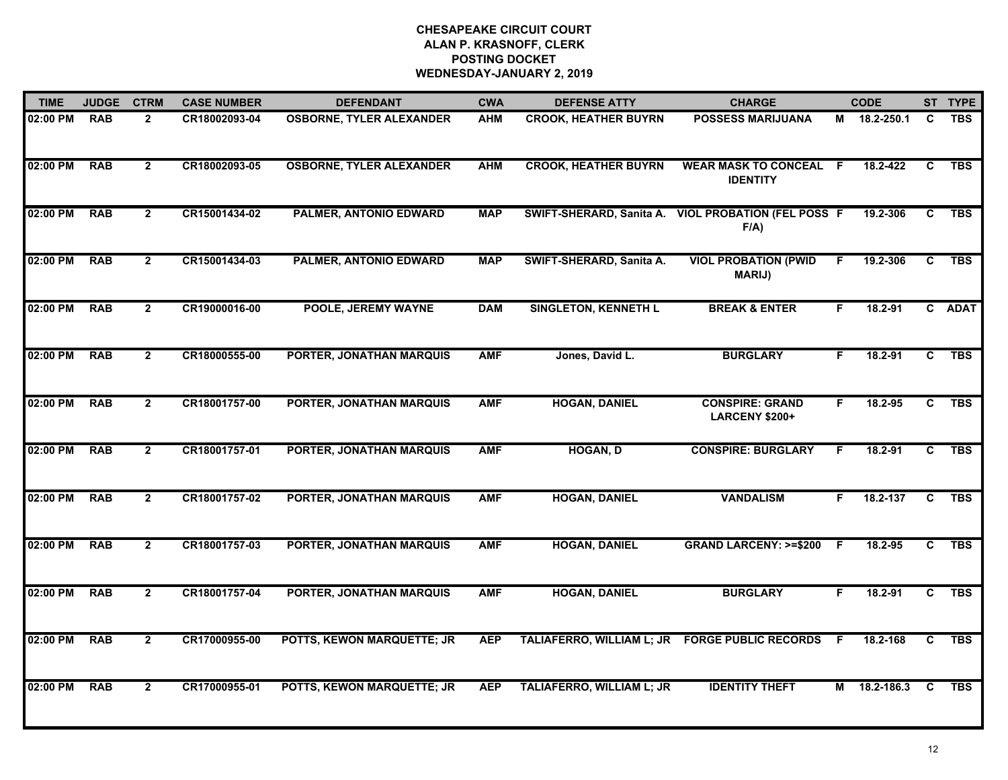| <b>TIME</b> | <b>JUDGE</b> | <b>CTRM</b>    | <b>CASE NUMBER</b> | <b>DEFENDANT</b>                | <b>CWA</b> | <b>DEFENSE ATTY</b>         | <b>CHARGE</b>                                                  |     | <b>CODE</b>  |                | ST TYPE    |
|-------------|--------------|----------------|--------------------|---------------------------------|------------|-----------------------------|----------------------------------------------------------------|-----|--------------|----------------|------------|
| 02:00 PM    | <b>RAB</b>   | $\mathbf{2}$   | CR18002093-04      | <b>OSBORNE, TYLER ALEXANDER</b> | <b>AHM</b> | <b>CROOK, HEATHER BUYRN</b> | <b>POSSESS MARIJUANA</b>                                       |     | M 18.2-250.1 | C              | <b>TBS</b> |
| 02:00 PM    | <b>RAB</b>   | $\overline{2}$ | CR18002093-05      | <b>OSBORNE, TYLER ALEXANDER</b> | <b>AHM</b> | <b>CROOK, HEATHER BUYRN</b> | <b>WEAR MASK TO CONCEAL F</b><br><b>IDENTITY</b>               |     | 18.2-422     | C              | <b>TBS</b> |
| 02:00 PM    | <b>RAB</b>   | $\mathbf{2}$   | CR15001434-02      | PALMER, ANTONIO EDWARD          | <b>MAP</b> |                             | SWIFT-SHERARD, Sanita A. VIOL PROBATION (FEL POSS F<br>$F/A$ ) |     | 19.2-306     | C              | <b>TBS</b> |
| 02:00 PM    | <b>RAB</b>   | $\mathbf{2}$   | CR15001434-03      | PALMER, ANTONIO EDWARD          | <b>MAP</b> | SWIFT-SHERARD, Sanita A.    | <b>VIOL PROBATION (PWID</b><br><b>MARIJ</b> )                  | F.  | 19.2-306     | C              | <b>TBS</b> |
| 02:00 PM    | <b>RAB</b>   | $\overline{2}$ | CR19000016-00      | <b>POOLE, JEREMY WAYNE</b>      | <b>DAM</b> | <b>SINGLETON, KENNETH L</b> | <b>BREAK &amp; ENTER</b>                                       | F.  | $18.2 - 91$  |                | C ADAT     |
| 02:00 PM    | <b>RAB</b>   | $\mathbf{2}$   | CR18000555-00      | <b>PORTER, JONATHAN MARQUIS</b> | <b>AMF</b> | Jones, David L.             | <b>BURGLARY</b>                                                | F.  | $18.2 - 91$  | C              | <b>TBS</b> |
| 02:00 PM    | <b>RAB</b>   | $\mathbf{2}$   | CR18001757-00      | PORTER, JONATHAN MARQUIS        | <b>AMF</b> | <b>HOGAN, DANIEL</b>        | <b>CONSPIRE: GRAND</b><br><b>LARCENY \$200+</b>                | F   | 18.2-95      | $\overline{c}$ | <b>TBS</b> |
| 02:00 PM    | <b>RAB</b>   | $\mathbf{2}$   | CR18001757-01      | PORTER, JONATHAN MARQUIS        | <b>AMF</b> | <b>HOGAN, D</b>             | <b>CONSPIRE: BURGLARY</b>                                      | F   | $18.2 - 91$  | C.             | <b>TBS</b> |
| 02:00 PM    | <b>RAB</b>   | $\mathbf{2}$   | CR18001757-02      | PORTER, JONATHAN MARQUIS        | <b>AMF</b> | <b>HOGAN, DANIEL</b>        | <b>VANDALISM</b>                                               | F.  | 18.2-137     | C              | <b>TBS</b> |
| 02:00 PM    | <b>RAB</b>   | $\mathbf{2}$   | CR18001757-03      | PORTER, JONATHAN MARQUIS        | <b>AMF</b> | <b>HOGAN, DANIEL</b>        | <b>GRAND LARCENY: &gt;=\$200</b>                               | - F | 18.2-95      | C.             | <b>TBS</b> |
| 02:00 PM    | <b>RAB</b>   | $\overline{2}$ | CR18001757-04      | PORTER, JONATHAN MARQUIS        | <b>AMF</b> | <b>HOGAN, DANIEL</b>        | <b>BURGLARY</b>                                                | F.  | $18.2 - 91$  | $\overline{c}$ | <b>TBS</b> |
| 02:00 PM    | <b>RAB</b>   | $\mathbf{2}$   | CR17000955-00      | POTTS, KEWON MARQUETTE; JR      | <b>AEP</b> | TALIAFERRO, WILLIAM L; JR   | <b>FORGE PUBLIC RECORDS</b>                                    | -F  | 18.2-168     | C              | <b>TBS</b> |
| 02:00 PM    | <b>RAB</b>   | $\mathbf{2}$   | CR17000955-01      | POTTS, KEWON MARQUETTE; JR      | <b>AEP</b> | TALIAFERRO, WILLIAM L; JR   | <b>IDENTITY THEFT</b>                                          | М   | 18.2-186.3   | C              | <b>TBS</b> |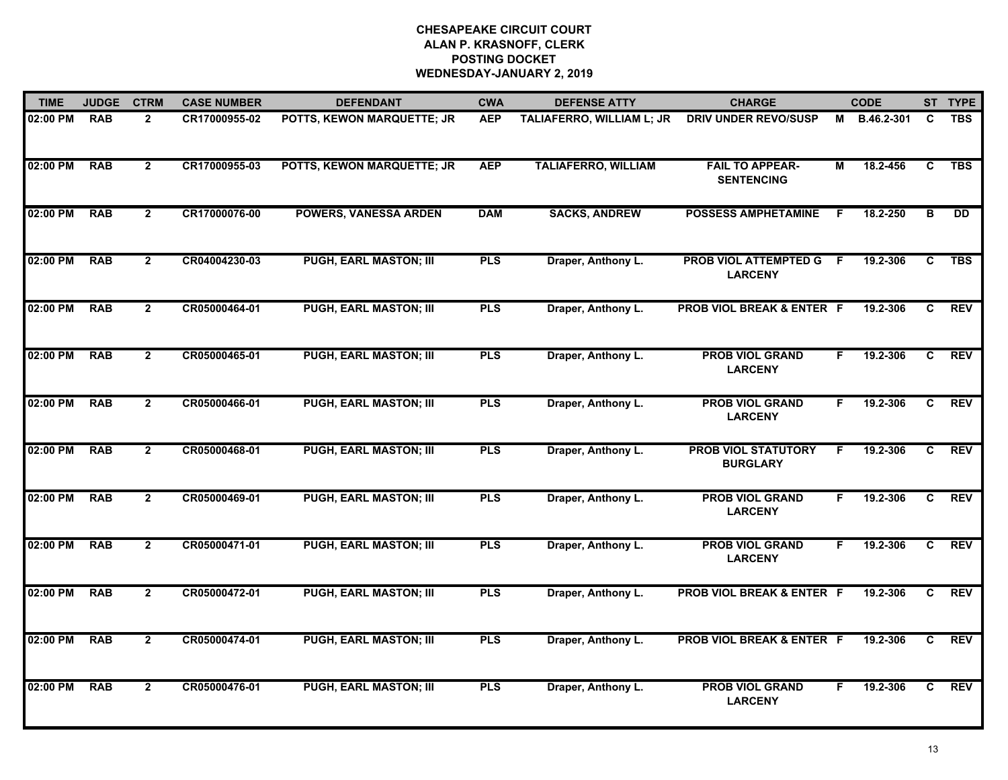| <b>TIME</b> | <b>JUDGE</b> | <b>CTRM</b>    | <b>CASE NUMBER</b> | <b>DEFENDANT</b>              | <b>CWA</b> | <b>DEFENSE ATTY</b>        | <b>CHARGE</b>                                    |    | <b>CODE</b>  |   | ST TYPE    |
|-------------|--------------|----------------|--------------------|-------------------------------|------------|----------------------------|--------------------------------------------------|----|--------------|---|------------|
| 02:00 PM    | <b>RAB</b>   | $\mathbf{2}$   | CR17000955-02      | POTTS, KEWON MARQUETTE; JR    | <b>AEP</b> | TALIAFERRO, WILLIAM L; JR  | <b>DRIV UNDER REVO/SUSP</b>                      |    | M B.46.2-301 | C | <b>TBS</b> |
| 02:00 PM    | <b>RAB</b>   | $\mathbf{2}$   | CR17000955-03      | POTTS, KEWON MARQUETTE; JR    | <b>AEP</b> | <b>TALIAFERRO, WILLIAM</b> | <b>FAIL TO APPEAR-</b><br><b>SENTENCING</b>      | м  | 18.2-456     | C | <b>TBS</b> |
| 02:00 PM    | <b>RAB</b>   | $\overline{2}$ | CR17000076-00      | <b>POWERS, VANESSA ARDEN</b>  | <b>DAM</b> | <b>SACKS, ANDREW</b>       | <b>POSSESS AMPHETAMINE</b>                       | F  | 18.2-250     | в | DD         |
| 02:00 PM    | <b>RAB</b>   | $\mathbf{2}$   | CR04004230-03      | <b>PUGH, EARL MASTON; III</b> | <b>PLS</b> | Draper, Anthony L.         | <b>PROB VIOL ATTEMPTED G F</b><br><b>LARCENY</b> |    | 19.2-306     | C | <b>TBS</b> |
| 02:00 PM    | <b>RAB</b>   | $\mathbf{2}$   | CR05000464-01      | <b>PUGH, EARL MASTON; III</b> | <b>PLS</b> | Draper, Anthony L.         | <b>PROB VIOL BREAK &amp; ENTER F</b>             |    | 19.2-306     | C | <b>REV</b> |
| 02:00 PM    | <b>RAB</b>   | $\mathbf{2}$   | CR05000465-01      | <b>PUGH, EARL MASTON; III</b> | <b>PLS</b> | Draper, Anthony L.         | <b>PROB VIOL GRAND</b><br><b>LARCENY</b>         | F. | 19.2-306     | C | <b>REV</b> |
| 02:00 PM    | <b>RAB</b>   | $\overline{2}$ | CR05000466-01      | <b>PUGH, EARL MASTON; III</b> | <b>PLS</b> | Draper, Anthony L.         | <b>PROB VIOL GRAND</b><br><b>LARCENY</b>         | F. | 19.2-306     | C | <b>REV</b> |
| 02:00 PM    | <b>RAB</b>   | $\overline{2}$ | CR05000468-01      | <b>PUGH, EARL MASTON; III</b> | <b>PLS</b> | Draper, Anthony L.         | <b>PROB VIOL STATUTORY</b><br><b>BURGLARY</b>    | F  | 19.2-306     | C | <b>REV</b> |
| 02:00 PM    | <b>RAB</b>   | $\mathbf{2}$   | CR05000469-01      | <b>PUGH, EARL MASTON; III</b> | <b>PLS</b> | Draper, Anthony L.         | <b>PROB VIOL GRAND</b><br><b>LARCENY</b>         | F. | 19.2-306     | C | <b>REV</b> |
| 02:00 PM    | <b>RAB</b>   | $\overline{2}$ | CR05000471-01      | <b>PUGH, EARL MASTON; III</b> | <b>PLS</b> | Draper, Anthony L.         | <b>PROB VIOL GRAND</b><br><b>LARCENY</b>         | F. | 19.2-306     | C | <b>REV</b> |
| 02:00 PM    | <b>RAB</b>   | $\overline{2}$ | CR05000472-01      | <b>PUGH, EARL MASTON; III</b> | <b>PLS</b> | Draper, Anthony L.         | <b>PROB VIOL BREAK &amp; ENTER F</b>             |    | 19.2-306     | C | <b>REV</b> |
| 02:00 PM    | <b>RAB</b>   | $\overline{2}$ | CR05000474-01      | <b>PUGH, EARL MASTON; III</b> | <b>PLS</b> | Draper, Anthony L.         | PROB VIOL BREAK & ENTER F                        |    | 19.2-306     | C | <b>REV</b> |
| 02:00 PM    | <b>RAB</b>   | $\mathbf{2}$   | CR05000476-01      | <b>PUGH, EARL MASTON; III</b> | <b>PLS</b> | Draper, Anthony L.         | <b>PROB VIOL GRAND</b><br><b>LARCENY</b>         | F. | 19.2-306     | C | <b>REV</b> |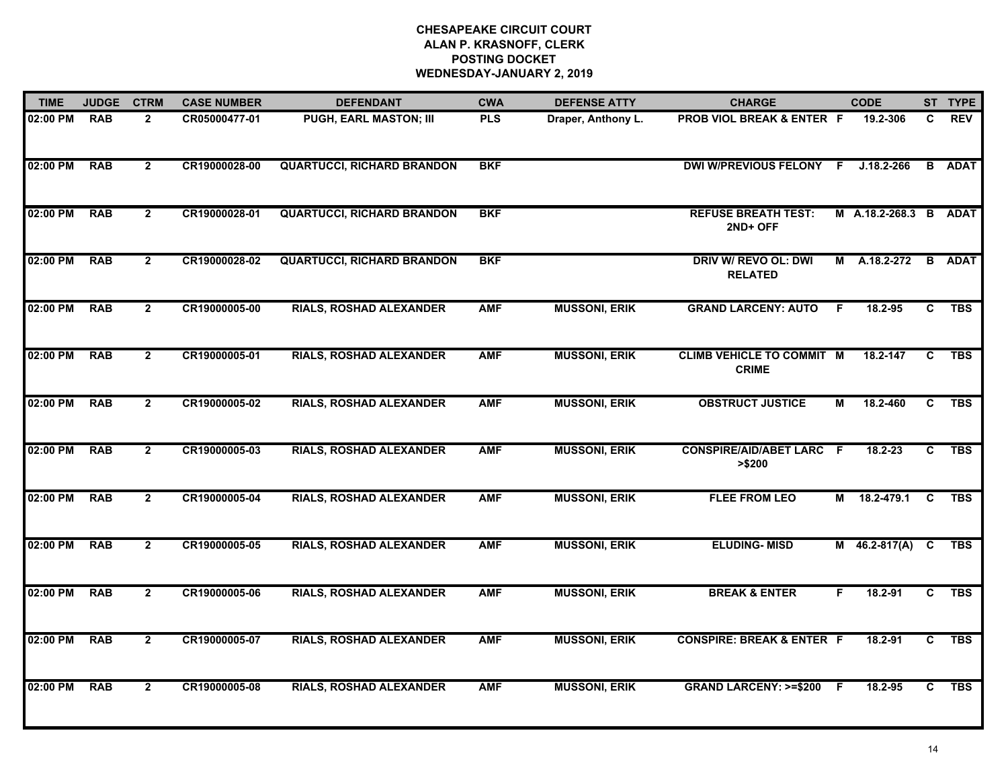| <b>TIME</b> | <b>JUDGE</b> | <b>CTRM</b>    | <b>CASE NUMBER</b> | <b>DEFENDANT</b>                  | <b>CWA</b> | <b>DEFENSE ATTY</b>  | <b>CHARGE</b>                                    |    | <b>CODE</b>      |                | ST TYPE     |
|-------------|--------------|----------------|--------------------|-----------------------------------|------------|----------------------|--------------------------------------------------|----|------------------|----------------|-------------|
| 02:00 PM    | <b>RAB</b>   | $\overline{2}$ | CR05000477-01      | PUGH, EARL MASTON; III            | <b>PLS</b> | Draper, Anthony L.   | PROB VIOL BREAK & ENTER F                        |    | 19.2-306         | C.             | <b>REV</b>  |
| 02:00 PM    | <b>RAB</b>   | $\overline{2}$ | CR19000028-00      | <b>QUARTUCCI, RICHARD BRANDON</b> | <b>BKF</b> |                      | DWI W/PREVIOUS FELONY F                          |    | $J.18.2 - 266$   | B              | <b>ADAT</b> |
| 02:00 PM    | <b>RAB</b>   | $\mathbf{2}$   | CR19000028-01      | <b>QUARTUCCI, RICHARD BRANDON</b> | <b>BKF</b> |                      | <b>REFUSE BREATH TEST:</b><br>2ND+ OFF           |    | M A.18.2-268.3 B |                | <b>ADAT</b> |
| 02:00 PM    | <b>RAB</b>   | $\overline{2}$ | CR19000028-02      | <b>QUARTUCCI, RICHARD BRANDON</b> | <b>BKF</b> |                      | DRIV W/ REVO OL: DWI<br><b>RELATED</b>           | м  | A.18.2-272       | <b>B</b>       | <b>ADAT</b> |
| 02:00 PM    | <b>RAB</b>   | $\overline{2}$ | CR19000005-00      | <b>RIALS, ROSHAD ALEXANDER</b>    | <b>AMF</b> | <b>MUSSONI, ERIK</b> | <b>GRAND LARCENY: AUTO</b>                       | F. | 18.2-95          | C.             | <b>TBS</b>  |
| 02:00 PM    | <b>RAB</b>   | $\mathbf{2}$   | CR19000005-01      | RIALS, ROSHAD ALEXANDER           | <b>AMF</b> | <b>MUSSONI, ERIK</b> | <b>CLIMB VEHICLE TO COMMIT M</b><br><b>CRIME</b> |    | 18.2-147         | $\overline{c}$ | <b>TBS</b>  |
| 02:00 PM    | <b>RAB</b>   | $\overline{2}$ | CR19000005-02      | <b>RIALS, ROSHAD ALEXANDER</b>    | <b>AMF</b> | <b>MUSSONI, ERIK</b> | <b>OBSTRUCT JUSTICE</b>                          | M  | 18.2-460         | $\overline{c}$ | <b>TBS</b>  |
| 02:00 PM    | <b>RAB</b>   | $\overline{2}$ | CR19000005-03      | <b>RIALS, ROSHAD ALEXANDER</b>    | <b>AMF</b> | <b>MUSSONI, ERIK</b> | <b>CONSPIRE/AID/ABET LARC F</b><br>> \$200       |    | $18.2 - 23$      | C              | <b>TBS</b>  |
| 02:00 PM    | <b>RAB</b>   | $\mathbf{2}$   | CR19000005-04      | <b>RIALS, ROSHAD ALEXANDER</b>    | <b>AMF</b> | <b>MUSSONI, ERIK</b> | <b>FLEE FROM LEO</b>                             | М  | 18.2-479.1       | C              | <b>TBS</b>  |
| 02:00 PM    | <b>RAB</b>   | $\overline{2}$ | CR19000005-05      | <b>RIALS, ROSHAD ALEXANDER</b>    | <b>AMF</b> | <b>MUSSONI, ERIK</b> | <b>ELUDING-MISD</b>                              |    | $M$ 46.2-817(A)  | C              | <b>TBS</b>  |
| 02:00 PM    | <b>RAB</b>   | $\overline{2}$ | CR19000005-06      | <b>RIALS, ROSHAD ALEXANDER</b>    | <b>AMF</b> | <b>MUSSONI, ERIK</b> | <b>BREAK &amp; ENTER</b>                         | F. | 18.2-91          | C              | <b>TBS</b>  |
| 02:00 PM    | <b>RAB</b>   | $\overline{2}$ | CR19000005-07      | <b>RIALS, ROSHAD ALEXANDER</b>    | <b>AMF</b> | <b>MUSSONI, ERIK</b> | <b>CONSPIRE: BREAK &amp; ENTER F</b>             |    | $18.2 - 91$      | $\overline{c}$ | <b>TBS</b>  |
| 02:00 PM    | <b>RAB</b>   | $\mathbf{2}$   | CR19000005-08      | <b>RIALS, ROSHAD ALEXANDER</b>    | <b>AMF</b> | <b>MUSSONI, ERIK</b> | GRAND LARCENY: >=\$200 F                         |    | 18.2-95          | C.             | <b>TBS</b>  |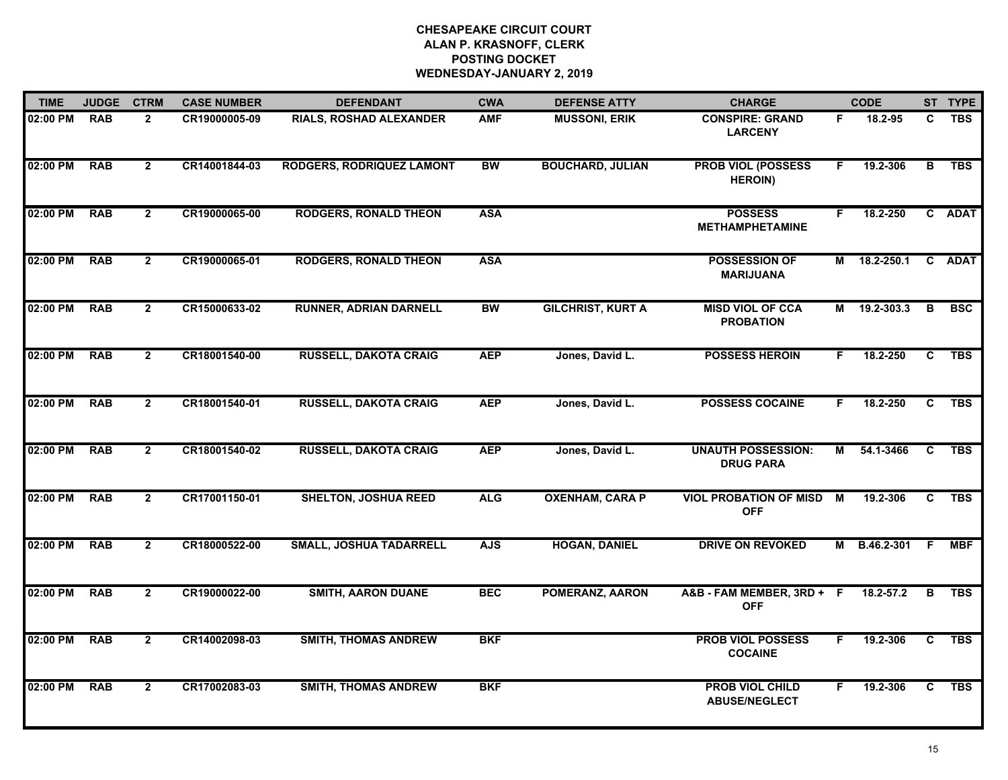| <b>TIME</b> | <b>JUDGE</b> | <b>CTRM</b>    | <b>CASE NUMBER</b> | <b>DEFENDANT</b>                 | <b>CWA</b> | <b>DEFENSE ATTY</b>      | <b>CHARGE</b>                                  |                         | <b>CODE</b>   |                | ST TYPE    |
|-------------|--------------|----------------|--------------------|----------------------------------|------------|--------------------------|------------------------------------------------|-------------------------|---------------|----------------|------------|
| 02:00 PM    | <b>RAB</b>   | $\overline{2}$ | CR19000005-09      | RIALS, ROSHAD ALEXANDER          | <b>AMF</b> | <b>MUSSONI, ERIK</b>     | <b>CONSPIRE: GRAND</b><br><b>LARCENY</b>       | F.                      | 18.2-95       | C              | <b>TBS</b> |
| 02:00 PM    | <b>RAB</b>   | $\overline{2}$ | CR14001844-03      | <b>RODGERS, RODRIQUEZ LAMONT</b> | <b>BW</b>  | <b>BOUCHARD, JULIAN</b>  | <b>PROB VIOL (POSSESS</b><br><b>HEROIN)</b>    | F.                      | 19.2-306      | $\overline{B}$ | <b>TBS</b> |
| 02:00 PM    | <b>RAB</b>   | $\overline{2}$ | CR19000065-00      | <b>RODGERS, RONALD THEON</b>     | <b>ASA</b> |                          | <b>POSSESS</b><br><b>METHAMPHETAMINE</b>       | F.                      | 18.2-250      |                | C ADAT     |
| 02:00 PM    | <b>RAB</b>   | $\mathbf{2}$   | CR19000065-01      | <b>RODGERS, RONALD THEON</b>     | <b>ASA</b> |                          | <b>POSSESSION OF</b><br><b>MARIJUANA</b>       | М                       | 18.2-250.1    |                | C ADAT     |
| 02:00 PM    | <b>RAB</b>   | $\mathbf{2}$   | CR15000633-02      | <b>RUNNER, ADRIAN DARNELL</b>    | <b>BW</b>  | <b>GILCHRIST, KURT A</b> | <b>MISD VIOL OF CCA</b><br><b>PROBATION</b>    | М                       | 19.2-303.3    | B              | <b>BSC</b> |
| 02:00 PM    | <b>RAB</b>   | $\overline{2}$ | CR18001540-00      | <b>RUSSELL, DAKOTA CRAIG</b>     | <b>AEP</b> | Jones, David L.          | <b>POSSESS HEROIN</b>                          | F.                      | 18.2-250      | C              | <b>TBS</b> |
| 02:00 PM    | <b>RAB</b>   | $\mathbf{2}$   | CR18001540-01      | <b>RUSSELL, DAKOTA CRAIG</b>     | <b>AEP</b> | Jones, David L.          | <b>POSSESS COCAINE</b>                         | F.                      | 18.2-250      | C              | <b>TBS</b> |
| 02:00 PM    | <b>RAB</b>   | $\overline{2}$ | CR18001540-02      | <b>RUSSELL, DAKOTA CRAIG</b>     | <b>AEP</b> | Jones, David L.          | <b>UNAUTH POSSESSION:</b><br><b>DRUG PARA</b>  | $\overline{\mathsf{M}}$ | 54.1-3466     | $\overline{c}$ | <b>TBS</b> |
| 02:00 PM    | <b>RAB</b>   | $\overline{2}$ | CR17001150-01      | <b>SHELTON, JOSHUA REED</b>      | <b>ALG</b> | <b>OXENHAM, CARA P</b>   | <b>VIOL PROBATION OF MISD</b><br><b>OFF</b>    | M                       | 19.2-306      | C              | <b>TBS</b> |
| 02:00 PM    | <b>RAB</b>   | $\overline{2}$ | CR18000522-00      | <b>SMALL, JOSHUA TADARRELL</b>   | <b>AJS</b> | <b>HOGAN, DANIEL</b>     | <b>DRIVE ON REVOKED</b>                        | М                       | B.46.2-301    | F.             | <b>MBF</b> |
| 02:00 PM    | <b>RAB</b>   | $\mathbf{2}$   | CR19000022-00      | <b>SMITH, AARON DUANE</b>        | <b>BEC</b> | <b>POMERANZ, AARON</b>   | A&B - FAM MEMBER, 3RD + F<br><b>OFF</b>        |                         | $18.2 - 57.2$ | B              | TBS        |
| 02:00 PM    | <b>RAB</b>   | $\overline{2}$ | CR14002098-03      | <b>SMITH, THOMAS ANDREW</b>      | <b>BKF</b> |                          | <b>PROB VIOL POSSESS</b><br><b>COCAINE</b>     | F.                      | 19.2-306      | C.             | <b>TBS</b> |
| 02:00 PM    | <b>RAB</b>   | $\overline{2}$ | CR17002083-03      | <b>SMITH, THOMAS ANDREW</b>      | <b>BKF</b> |                          | <b>PROB VIOL CHILD</b><br><b>ABUSE/NEGLECT</b> | F.                      | 19.2-306      | C              | <b>TBS</b> |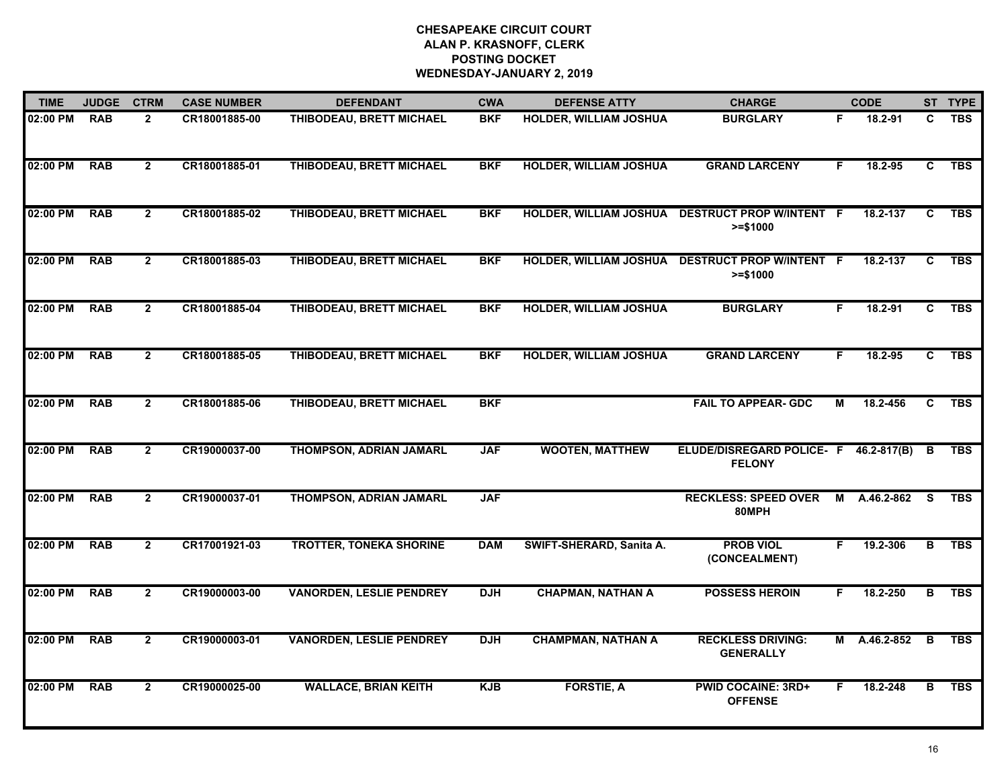| <b>TIME</b> | <b>JUDGE</b> | <b>CTRM</b>    | <b>CASE NUMBER</b> | <b>DEFENDANT</b>                | <b>CWA</b> | <b>DEFENSE ATTY</b>           | <b>CHARGE</b>                                          |    | <b>CODE</b>  |                | ST TYPE    |
|-------------|--------------|----------------|--------------------|---------------------------------|------------|-------------------------------|--------------------------------------------------------|----|--------------|----------------|------------|
| 02:00 PM    | <b>RAB</b>   | $\mathbf{2}$   | CR18001885-00      | THIBODEAU, BRETT MICHAEL        | <b>BKF</b> | HOLDER, WILLIAM JOSHUA        | <b>BURGLARY</b>                                        | F. | 18.2-91      | C              | <b>TBS</b> |
| 02:00 PM    | <b>RAB</b>   | $\overline{2}$ | CR18001885-01      | THIBODEAU, BRETT MICHAEL        | <b>BKF</b> | <b>HOLDER, WILLIAM JOSHUA</b> | <b>GRAND LARCENY</b>                                   | F. | 18.2-95      | C              | <b>TBS</b> |
| 02:00 PM    | <b>RAB</b>   | $\mathbf{2}$   | CR18001885-02      | THIBODEAU, BRETT MICHAEL        | <b>BKF</b> | <b>HOLDER, WILLIAM JOSHUA</b> | <b>DESTRUCT PROP W/INTENT F</b><br>$>= $1000$          |    | 18.2-137     | C              | <b>TBS</b> |
| 02:00 PM    | <b>RAB</b>   | $\mathbf{2}$   | CR18001885-03      | THIBODEAU, BRETT MICHAEL        | <b>BKF</b> | HOLDER, WILLIAM JOSHUA        | <b>DESTRUCT PROP W/INTENT F</b><br>$>= $1000$          |    | 18.2-137     | C              | <b>TBS</b> |
| 02:00 PM    | <b>RAB</b>   | $\mathbf{2}$   | CR18001885-04      | THIBODEAU, BRETT MICHAEL        | <b>BKF</b> | <b>HOLDER, WILLIAM JOSHUA</b> | <b>BURGLARY</b>                                        | F. | 18.2-91      | C              | <b>TBS</b> |
| 02:00 PM    | <b>RAB</b>   | $\mathbf{2}$   | CR18001885-05      | THIBODEAU, BRETT MICHAEL        | <b>BKF</b> | <b>HOLDER, WILLIAM JOSHUA</b> | <b>GRAND LARCENY</b>                                   | F. | 18.2-95      | C.             | TBS        |
| 02:00 PM    | <b>RAB</b>   | $\mathbf{2}$   | CR18001885-06      | THIBODEAU, BRETT MICHAEL        | <b>BKF</b> |                               | <b>FAIL TO APPEAR- GDC</b>                             | M  | 18.2-456     | C              | <b>TBS</b> |
| 02:00 PM    | <b>RAB</b>   | $\mathbf{2}$   | CR19000037-00      | THOMPSON, ADRIAN JAMARL         | <b>JAF</b> | <b>WOOTEN, MATTHEW</b>        | ELUDE/DISREGARD POLICE- F 46.2-817(B)<br><b>FELONY</b> |    |              | B              | <b>TBS</b> |
| 02:00 PM    | <b>RAB</b>   | $\overline{2}$ | CR19000037-01      | THOMPSON, ADRIAN JAMARL         | <b>JAF</b> |                               | <b>RECKLESS: SPEED OVER</b><br>80MPH                   | M  | A.46.2-862   | -S             | <b>TBS</b> |
| 02:00 PM    | <b>RAB</b>   | $\overline{2}$ | CR17001921-03      | <b>TROTTER, TONEKA SHORINE</b>  | <b>DAM</b> | SWIFT-SHERARD, Sanita A.      | <b>PROB VIOL</b><br>(CONCEALMENT)                      | F. | 19.2-306     | В              | <b>TBS</b> |
| 02:00 PM    | <b>RAB</b>   | $\mathbf{2}$   | CR19000003-00      | <b>VANORDEN, LESLIE PENDREY</b> | <b>DJH</b> | <b>CHAPMAN, NATHAN A</b>      | <b>POSSESS HEROIN</b>                                  | F. | 18.2-250     | $\overline{B}$ | <b>TBS</b> |
| 02:00 PM    | <b>RAB</b>   | $\overline{2}$ | CR19000003-01      | <b>VANORDEN, LESLIE PENDREY</b> | <b>DJH</b> | <b>CHAMPMAN, NATHAN A</b>     | <b>RECKLESS DRIVING:</b><br><b>GENERALLY</b>           |    | M A.46.2-852 | $\overline{B}$ | <b>TBS</b> |
| 02:00 PM    | <b>RAB</b>   | $\overline{2}$ | CR19000025-00      | <b>WALLACE, BRIAN KEITH</b>     | <b>KJB</b> | <b>FORSTIE, A</b>             | <b>PWID COCAINE: 3RD+</b><br><b>OFFENSE</b>            | F. | 18.2-248     | в              | <b>TBS</b> |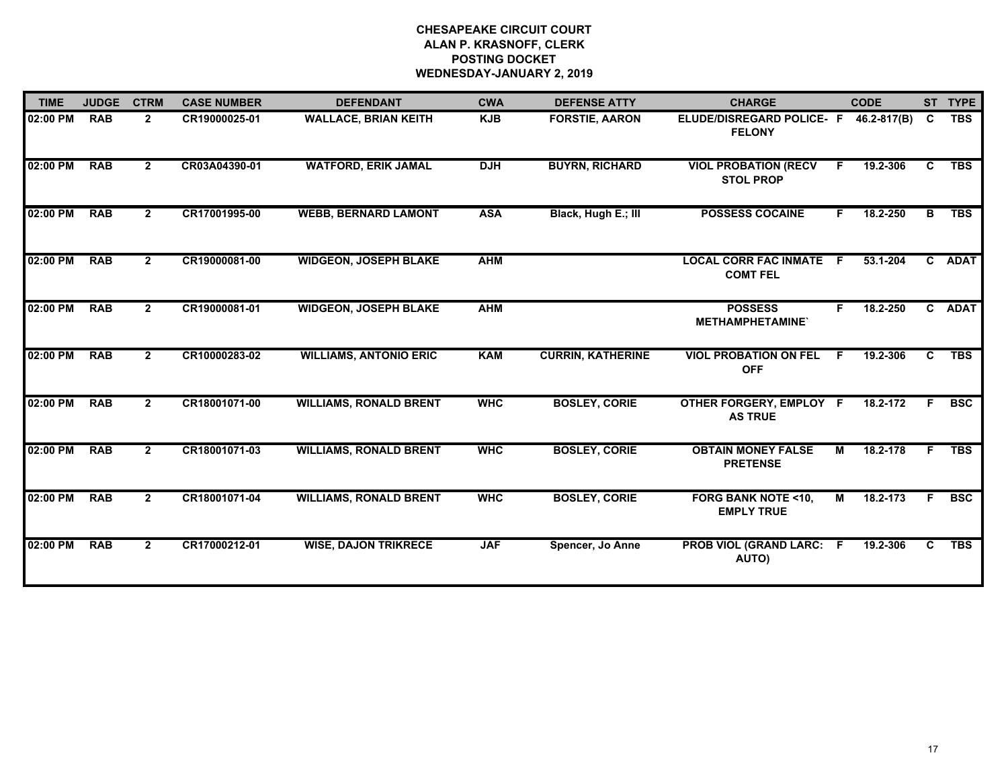| <b>TIME</b> | <b>JUDGE</b> | <b>CTRM</b>    | <b>CASE NUMBER</b> | <b>DEFENDANT</b>              | <b>CWA</b> | <b>DEFENSE ATTY</b>      | <b>CHARGE</b>                                      |    | <b>CODE</b>  |    | ST TYPE    |
|-------------|--------------|----------------|--------------------|-------------------------------|------------|--------------------------|----------------------------------------------------|----|--------------|----|------------|
| 02:00 PM    | <b>RAB</b>   | $\mathbf{2}$   | CR19000025-01      | <b>WALLACE, BRIAN KEITH</b>   | <b>KJB</b> | <b>FORSTIE, AARON</b>    | ELUDE/DISREGARD POLICE- F<br><b>FELONY</b>         |    | 46.2-817(B)  | C  | <b>TBS</b> |
| 02:00 PM    | <b>RAB</b>   | $\mathbf{2}$   | CR03A04390-01      | <b>WATFORD, ERIK JAMAL</b>    | <b>DJH</b> | <b>BUYRN, RICHARD</b>    | <b>VIOL PROBATION (RECV</b><br><b>STOL PROP</b>    | F. | 19.2-306     | C. | <b>TBS</b> |
| 02:00 PM    | <b>RAB</b>   | $\mathbf{2}$   | CR17001995-00      | <b>WEBB, BERNARD LAMONT</b>   | <b>ASA</b> | Black, Hugh E.; III      | <b>POSSESS COCAINE</b>                             | F. | 18.2-250     | в  | <b>TBS</b> |
| 02:00 PM    | <b>RAB</b>   | $\mathbf{2}$   | CR19000081-00      | <b>WIDGEON, JOSEPH BLAKE</b>  | <b>AHM</b> |                          | <b>LOCAL CORR FAC INMATE F</b><br><b>COMT FEL</b>  |    | 53.1-204     |    | C ADAT     |
| 02:00 PM    | <b>RAB</b>   | $\mathbf{2}$   | CR19000081-01      | <b>WIDGEON, JOSEPH BLAKE</b>  | <b>AHM</b> |                          | <b>POSSESS</b><br><b>METHAMPHETAMINE</b>           |    | 18.2-250     |    | C ADAT     |
| 02:00 PM    | <b>RAB</b>   | $\mathbf{2}$   | CR10000283-02      | <b>WILLIAMS, ANTONIO ERIC</b> | <b>KAM</b> | <b>CURRIN, KATHERINE</b> | <b>VIOL PROBATION ON FEL</b><br><b>OFF</b>         | F. | 19.2-306     | C. | <b>TBS</b> |
| 02:00 PM    | <b>RAB</b>   | $\mathbf{2}$   | CR18001071-00      | <b>WILLIAMS, RONALD BRENT</b> | <b>WHC</b> | <b>BOSLEY, CORIE</b>     | OTHER FORGERY, EMPLOY F<br><b>AS TRUE</b>          |    | 18.2-172     | F. | <b>BSC</b> |
| 02:00 PM    | <b>RAB</b>   | $\mathbf{2}$   | CR18001071-03      | <b>WILLIAMS, RONALD BRENT</b> | <b>WHC</b> | <b>BOSLEY, CORIE</b>     | <b>OBTAIN MONEY FALSE</b><br><b>PRETENSE</b>       | M  | 18.2-178     | F. | <b>TBS</b> |
| 02:00 PM    | <b>RAB</b>   | $\overline{2}$ | CR18001071-04      | <b>WILLIAMS, RONALD BRENT</b> | <b>WHC</b> | <b>BOSLEY, CORIE</b>     | <b>FORG BANK NOTE &lt;10,</b><br><b>EMPLY TRUE</b> | M  | $18.2 - 173$ | F. | <b>BSC</b> |
| 02:00 PM    | <b>RAB</b>   | $\mathbf{2}$   | CR17000212-01      | <b>WISE, DAJON TRIKRECE</b>   | <b>JAF</b> | Spencer, Jo Anne         | <b>PROB VIOL (GRAND LARC: F</b><br><b>AUTO)</b>    |    | 19.2-306     | C. | <b>TBS</b> |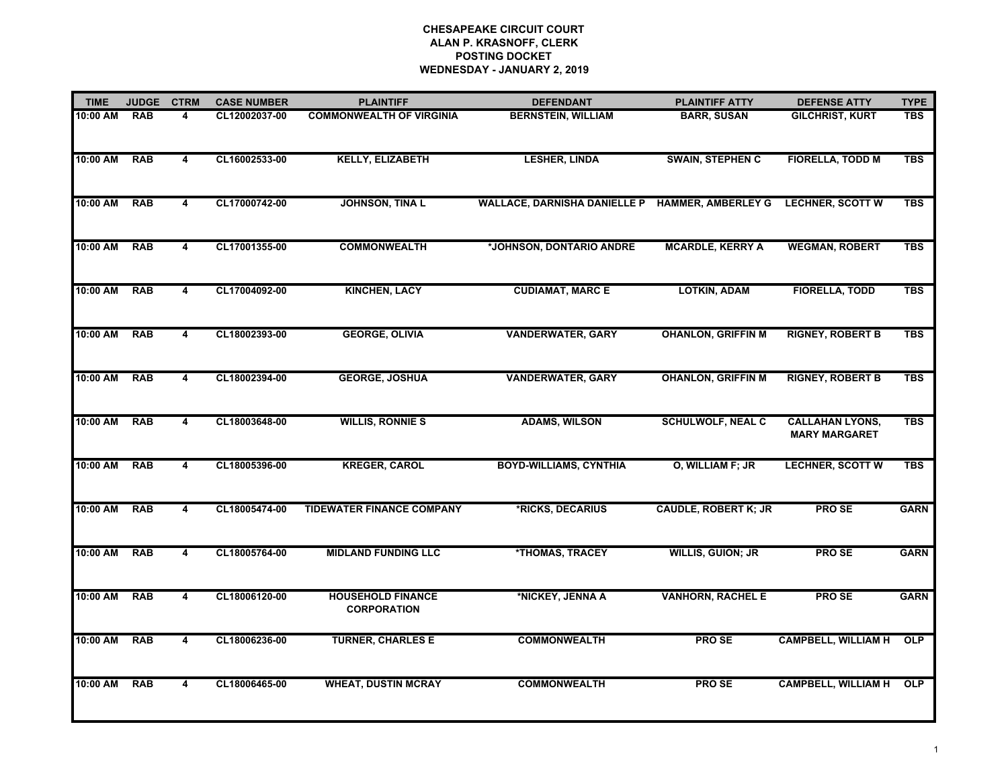| <b>TIME</b> | <b>JUDGE</b> | <b>CTRM</b>             | <b>CASE NUMBER</b> | <b>PLAINTIFF</b>                               | <b>DEFENDANT</b>                    | <b>PLAINTIFF ATTY</b>       | <b>DEFENSE ATTY</b>                            | <b>TYPE</b> |
|-------------|--------------|-------------------------|--------------------|------------------------------------------------|-------------------------------------|-----------------------------|------------------------------------------------|-------------|
| 10:00 AM    | <b>RAB</b>   | 4                       | CL12002037-00      | <b>COMMONWEALTH OF VIRGINIA</b>                | <b>BERNSTEIN, WILLIAM</b>           | <b>BARR, SUSAN</b>          | <b>GILCHRIST, KURT</b>                         | <b>TBS</b>  |
| 10:00 AM    | <b>RAB</b>   | 4                       | CL16002533-00      | <b>KELLY, ELIZABETH</b>                        | <b>LESHER, LINDA</b>                | <b>SWAIN, STEPHEN C</b>     | <b>FIORELLA, TODD M</b>                        | <b>TBS</b>  |
| 10:00 AM    | <b>RAB</b>   | $\overline{\mathbf{4}}$ | CL17000742-00      | <b>JOHNSON, TINA L</b>                         | <b>WALLACE, DARNISHA DANIELLE P</b> | <b>HAMMER, AMBERLEY G</b>   | <b>LECHNER, SCOTT W</b>                        | <b>TBS</b>  |
| 10:00 AM    | <b>RAB</b>   | 4                       | CL17001355-00      | <b>COMMONWEALTH</b>                            | *JOHNSON, DONTARIO ANDRE            | <b>MCARDLE, KERRY A</b>     | <b>WEGMAN, ROBERT</b>                          | <b>TBS</b>  |
| 10:00 AM    | <b>RAB</b>   | 4                       | CL17004092-00      | <b>KINCHEN, LACY</b>                           | <b>CUDIAMAT, MARC E</b>             | <b>LOTKIN, ADAM</b>         | <b>FIORELLA, TODD</b>                          | <b>TBS</b>  |
| 10:00 AM    | <b>RAB</b>   | $\overline{\mathbf{4}}$ | CL18002393-00      | <b>GEORGE, OLIVIA</b>                          | <b>VANDERWATER, GARY</b>            | <b>OHANLON, GRIFFIN M</b>   | <b>RIGNEY, ROBERT B</b>                        | <b>TBS</b>  |
| 10:00 AM    | <b>RAB</b>   | 4                       | CL18002394-00      | <b>GEORGE, JOSHUA</b>                          | <b>VANDERWATER, GARY</b>            | <b>OHANLON, GRIFFIN M</b>   | <b>RIGNEY, ROBERT B</b>                        | <b>TBS</b>  |
| 10:00 AM    | <b>RAB</b>   | 4                       | CL18003648-00      | <b>WILLIS, RONNIE S</b>                        | <b>ADAMS, WILSON</b>                | <b>SCHULWOLF, NEAL C</b>    | <b>CALLAHAN LYONS,</b><br><b>MARY MARGARET</b> | <b>TBS</b>  |
| 10:00 AM    | <b>RAB</b>   | $\overline{\mathbf{4}}$ | CL18005396-00      | <b>KREGER, CAROL</b>                           | <b>BOYD-WILLIAMS, CYNTHIA</b>       | O, WILLIAM F; JR            | <b>LECHNER, SCOTT W</b>                        | <b>TBS</b>  |
| 10:00 AM    | <b>RAB</b>   | $\overline{\mathbf{4}}$ | CL18005474-00      | <b>TIDEWATER FINANCE COMPANY</b>               | *RICKS, DECARIUS                    | <b>CAUDLE, ROBERT K; JR</b> | <b>PROSE</b>                                   | <b>GARN</b> |
| 10:00 AM    | <b>RAB</b>   | 4                       | CL18005764-00      | <b>MIDLAND FUNDING LLC</b>                     | *THOMAS, TRACEY                     | <b>WILLIS, GUION; JR</b>    | <b>PROSE</b>                                   | <b>GARN</b> |
| 10:00 AM    | <b>RAB</b>   | $\overline{4}$          | CL18006120-00      | <b>HOUSEHOLD FINANCE</b><br><b>CORPORATION</b> | *NICKEY, JENNA A                    | <b>VANHORN, RACHEL E</b>    | <b>PROSE</b>                                   | <b>GARN</b> |
| 10:00 AM    | <b>RAB</b>   | 4                       | CL18006236-00      | <b>TURNER, CHARLES E</b>                       | <b>COMMONWEALTH</b>                 | <b>PROSE</b>                | <b>CAMPBELL, WILLIAM H</b>                     | OLP         |
| 10:00 AM    | <b>RAB</b>   | 4                       | CL18006465-00      | <b>WHEAT, DUSTIN MCRAY</b>                     | <b>COMMONWEALTH</b>                 | <b>PROSE</b>                | <b>CAMPBELL, WILLIAM H</b>                     | <b>OLP</b>  |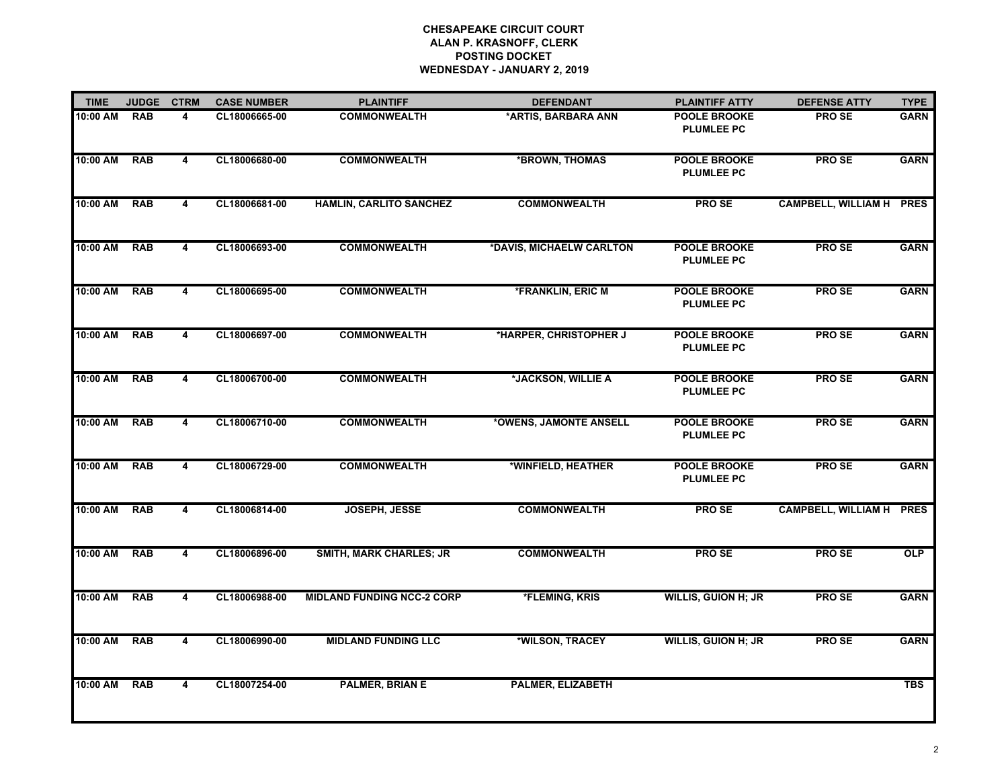| <b>TIME</b> | <b>JUDGE</b> | <b>CTRM</b>    | <b>CASE NUMBER</b> | <b>PLAINTIFF</b>                  | <b>DEFENDANT</b>         | <b>PLAINTIFF ATTY</b>                    | <b>DEFENSE ATTY</b>             | <b>TYPE</b> |
|-------------|--------------|----------------|--------------------|-----------------------------------|--------------------------|------------------------------------------|---------------------------------|-------------|
| 10:00 AM    | <b>RAB</b>   | 4              | CL18006665-00      | <b>COMMONWEALTH</b>               | *ARTIS, BARBARA ANN      | <b>POOLE BROOKE</b><br><b>PLUMLEE PC</b> | <b>PROSE</b>                    | <b>GARN</b> |
| 10:00 AM    | <b>RAB</b>   | 4              | CL18006680-00      | <b>COMMONWEALTH</b>               | *BROWN, THOMAS           | <b>POOLE BROOKE</b><br><b>PLUMLEE PC</b> | <b>PROSE</b>                    | <b>GARN</b> |
| 10:00 AM    | <b>RAB</b>   | 4              | CL18006681-00      | <b>HAMLIN, CARLITO SANCHEZ</b>    | <b>COMMONWEALTH</b>      | <b>PROSE</b>                             | <b>CAMPBELL, WILLIAM H PRES</b> |             |
| 10:00 AM    | <b>RAB</b>   | $\overline{4}$ | CL18006693-00      | <b>COMMONWEALTH</b>               | *DAVIS, MICHAELW CARLTON | <b>POOLE BROOKE</b><br><b>PLUMLEE PC</b> | <b>PROSE</b>                    | <b>GARN</b> |
| 10:00 AM    | <b>RAB</b>   | 4              | CL18006695-00      | <b>COMMONWEALTH</b>               | *FRANKLIN, ERIC M        | <b>POOLE BROOKE</b><br><b>PLUMLEE PC</b> | <b>PROSE</b>                    | <b>GARN</b> |
| 10:00 AM    | <b>RAB</b>   | 4              | CL18006697-00      | <b>COMMONWEALTH</b>               | *HARPER, CHRISTOPHER J   | <b>POOLE BROOKE</b><br><b>PLUMLEE PC</b> | <b>PROSE</b>                    | <b>GARN</b> |
| 10:00 AM    | <b>RAB</b>   | 4              | CL18006700-00      | <b>COMMONWEALTH</b>               | *JACKSON, WILLIE A       | <b>POOLE BROOKE</b><br><b>PLUMLEE PC</b> | <b>PROSE</b>                    | <b>GARN</b> |
| 10:00 AM    | <b>RAB</b>   | $\overline{4}$ | CL18006710-00      | <b>COMMONWEALTH</b>               | *OWENS, JAMONTE ANSELL   | POOLE BROOKE<br><b>PLUMLEE PC</b>        | <b>PROSE</b>                    | <b>GARN</b> |
| 10:00 AM    | <b>RAB</b>   | 4              | CL18006729-00      | <b>COMMONWEALTH</b>               | *WINFIELD, HEATHER       | POOLE BROOKE<br><b>PLUMLEE PC</b>        | <b>PROSE</b>                    | <b>GARN</b> |
| 10:00 AM    | <b>RAB</b>   | $\overline{4}$ | CL18006814-00      | <b>JOSEPH, JESSE</b>              | <b>COMMONWEALTH</b>      | <b>PROSE</b>                             | <b>CAMPBELL, WILLIAM H PRES</b> |             |
| 10:00 AM    | <b>RAB</b>   | 4              | CL18006896-00      | <b>SMITH, MARK CHARLES; JR</b>    | <b>COMMONWEALTH</b>      | <b>PROSE</b>                             | <b>PROSE</b>                    | OLP         |
| 10:00 AM    | <b>RAB</b>   | $\overline{4}$ | CL18006988-00      | <b>MIDLAND FUNDING NCC-2 CORP</b> | *FLEMING, KRIS           | <b>WILLIS, GUION H; JR</b>               | <b>PROSE</b>                    | <b>GARN</b> |
| 10:00 AM    | <b>RAB</b>   | 4              | CL18006990-00      | <b>MIDLAND FUNDING LLC</b>        | *WILSON, TRACEY          | <b>WILLIS, GUION H; JR</b>               | PRO SE                          | <b>GARN</b> |
| 10:00 AM    | <b>RAB</b>   | 4              | CL18007254-00      | <b>PALMER, BRIAN E</b>            | PALMER, ELIZABETH        |                                          |                                 | <b>TBS</b>  |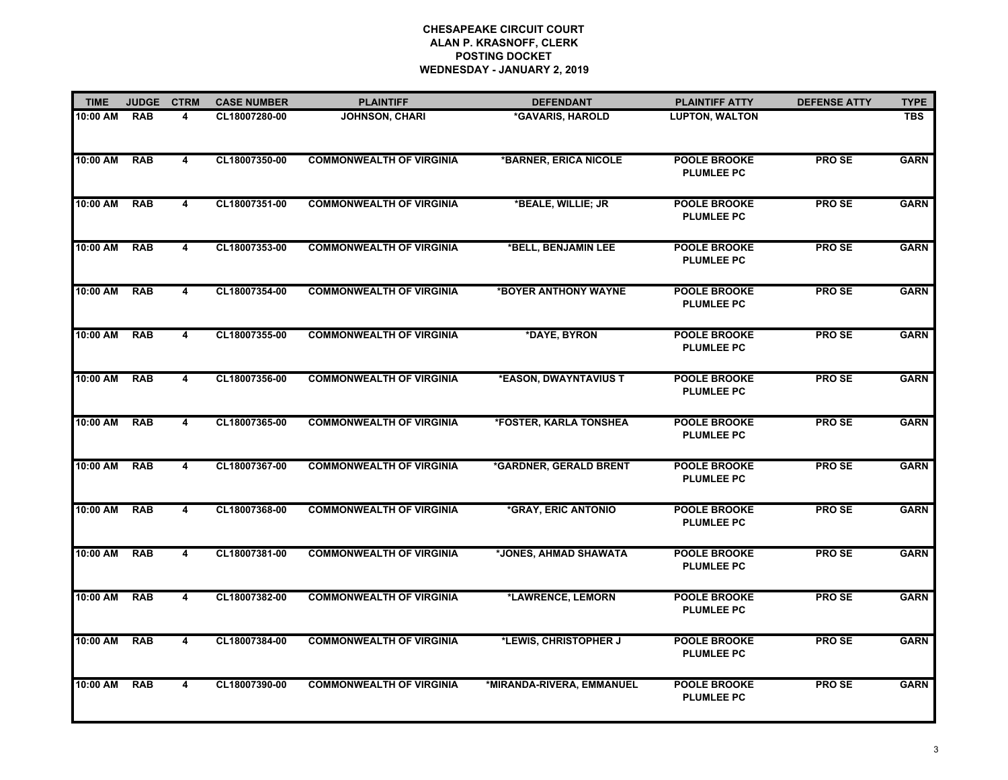| <b>TIME</b> | <b>JUDGE</b> | <b>CTRM</b>             | <b>CASE NUMBER</b> | <b>PLAINTIFF</b>                | <b>DEFENDANT</b>          | <b>PLAINTIFF ATTY</b>                    | <b>DEFENSE ATTY</b> | <b>TYPE</b> |
|-------------|--------------|-------------------------|--------------------|---------------------------------|---------------------------|------------------------------------------|---------------------|-------------|
| 10:00 AM    | <b>RAB</b>   | 4                       | CL18007280-00      | <b>JOHNSON, CHARI</b>           | *GAVARIS, HAROLD          | <b>LUPTON, WALTON</b>                    |                     | <b>TBS</b>  |
| 10:00 AM    | <b>RAB</b>   | 4                       | CL18007350-00      | <b>COMMONWEALTH OF VIRGINIA</b> | *BARNER, ERICA NICOLE     | <b>POOLE BROOKE</b><br><b>PLUMLEE PC</b> | <b>PROSE</b>        | <b>GARN</b> |
| 10:00 AM    | <b>RAB</b>   | 4                       | CL18007351-00      | <b>COMMONWEALTH OF VIRGINIA</b> | *BEALE, WILLIE; JR        | <b>POOLE BROOKE</b><br><b>PLUMLEE PC</b> | <b>PROSE</b>        | <b>GARN</b> |
| 10:00 AM    | <b>RAB</b>   | $\overline{\mathbf{4}}$ | CL18007353-00      | <b>COMMONWEALTH OF VIRGINIA</b> | *BELL, BENJAMIN LEE       | <b>POOLE BROOKE</b><br><b>PLUMLEE PC</b> | <b>PROSE</b>        | <b>GARN</b> |
| 10:00 AM    | <b>RAB</b>   | 4                       | CL18007354-00      | <b>COMMONWEALTH OF VIRGINIA</b> | *BOYER ANTHONY WAYNE      | POOLE BROOKE<br><b>PLUMLEE PC</b>        | <b>PROSE</b>        | <b>GARN</b> |
| 10:00 AM    | <b>RAB</b>   | $\overline{4}$          | CL18007355-00      | <b>COMMONWEALTH OF VIRGINIA</b> | *DAYE, BYRON              | <b>POOLE BROOKE</b><br><b>PLUMLEE PC</b> | <b>PROSE</b>        | <b>GARN</b> |
| 10:00 AM    | <b>RAB</b>   | 4                       | CL18007356-00      | <b>COMMONWEALTH OF VIRGINIA</b> | *EASON, DWAYNTAVIUS T     | <b>POOLE BROOKE</b><br><b>PLUMLEE PC</b> | <b>PROSE</b>        | <b>GARN</b> |
| 10:00 AM    | <b>RAB</b>   | 4                       | CL18007365-00      | <b>COMMONWEALTH OF VIRGINIA</b> | *FOSTER, KARLA TONSHEA    | <b>POOLE BROOKE</b><br><b>PLUMLEE PC</b> | <b>PROSE</b>        | <b>GARN</b> |
| 10:00 AM    | <b>RAB</b>   | $\overline{4}$          | CL18007367-00      | <b>COMMONWEALTH OF VIRGINIA</b> | *GARDNER, GERALD BRENT    | <b>POOLE BROOKE</b><br><b>PLUMLEE PC</b> | <b>PROSE</b>        | <b>GARN</b> |
| 10:00 AM    | <b>RAB</b>   | 4                       | CL18007368-00      | <b>COMMONWEALTH OF VIRGINIA</b> | *GRAY, ERIC ANTONIO       | <b>POOLE BROOKE</b><br><b>PLUMLEE PC</b> | <b>PROSE</b>        | <b>GARN</b> |
| 10:00 AM    | <b>RAB</b>   | 4                       | CL18007381-00      | <b>COMMONWEALTH OF VIRGINIA</b> | *JONES, AHMAD SHAWATA     | <b>POOLE BROOKE</b><br><b>PLUMLEE PC</b> | <b>PROSE</b>        | <b>GARN</b> |
| 10:00 AM    | <b>RAB</b>   | 4                       | CL18007382-00      | <b>COMMONWEALTH OF VIRGINIA</b> | *LAWRENCE, LEMORN         | <b>POOLE BROOKE</b><br><b>PLUMLEE PC</b> | <b>PROSE</b>        | <b>GARN</b> |
| 10:00 AM    | <b>RAB</b>   | 4                       | CL18007384-00      | <b>COMMONWEALTH OF VIRGINIA</b> | *LEWIS, CHRISTOPHER J     | <b>POOLE BROOKE</b><br><b>PLUMLEE PC</b> | <b>PROSE</b>        | <b>GARN</b> |
| 10:00 AM    | <b>RAB</b>   | $\overline{4}$          | CL18007390-00      | <b>COMMONWEALTH OF VIRGINIA</b> | *MIRANDA-RIVERA, EMMANUEL | <b>POOLE BROOKE</b><br><b>PLUMLEE PC</b> | <b>PROSE</b>        | <b>GARN</b> |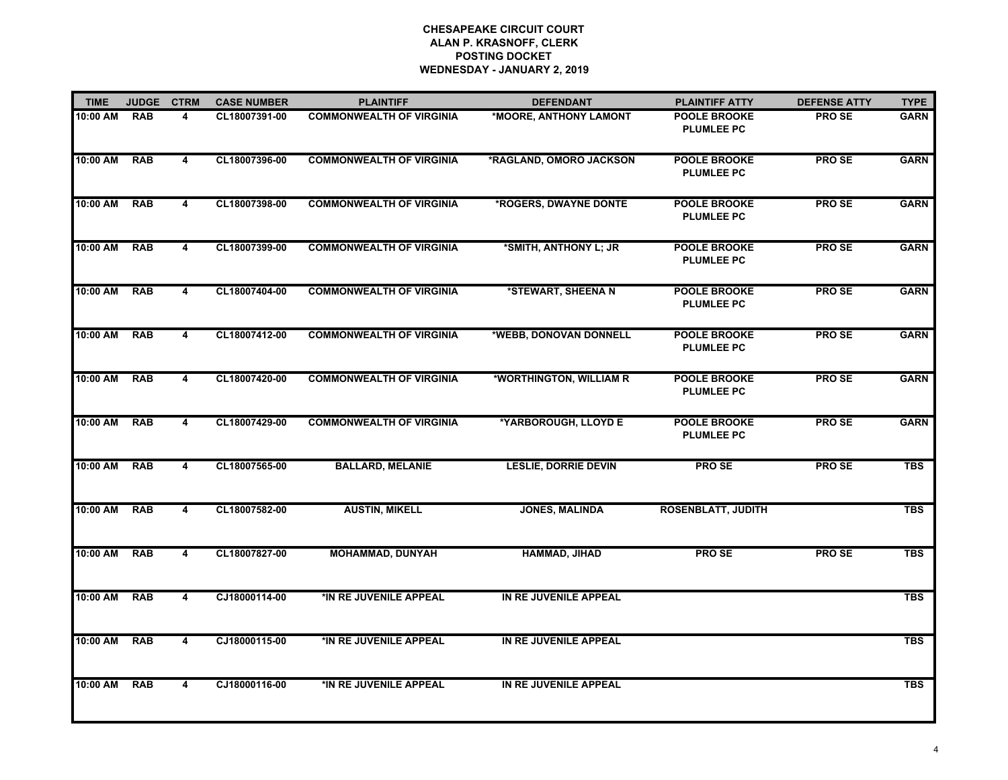| <b>TIME</b> | <b>JUDGE</b> | <b>CTRM</b>    | <b>CASE NUMBER</b> | <b>PLAINTIFF</b>                | <b>DEFENDANT</b>            | <b>PLAINTIFF ATTY</b>                    | <b>DEFENSE ATTY</b> | <b>TYPE</b> |
|-------------|--------------|----------------|--------------------|---------------------------------|-----------------------------|------------------------------------------|---------------------|-------------|
| 10:00 AM    | <b>RAB</b>   | 4              | CL18007391-00      | <b>COMMONWEALTH OF VIRGINIA</b> | *MOORE, ANTHONY LAMONT      | <b>POOLE BROOKE</b><br><b>PLUMLEE PC</b> | <b>PROSE</b>        | <b>GARN</b> |
| 10:00 AM    | <b>RAB</b>   | 4              | CL18007396-00      | <b>COMMONWEALTH OF VIRGINIA</b> | *RAGLAND, OMORO JACKSON     | <b>POOLE BROOKE</b><br><b>PLUMLEE PC</b> | <b>PROSE</b>        | <b>GARN</b> |
| 10:00 AM    | <b>RAB</b>   | 4              | CL18007398-00      | <b>COMMONWEALTH OF VIRGINIA</b> | *ROGERS, DWAYNE DONTE       | <b>POOLE BROOKE</b><br><b>PLUMLEE PC</b> | PRO SE              | <b>GARN</b> |
| 10:00 AM    | <b>RAB</b>   | 4              | CL18007399-00      | <b>COMMONWEALTH OF VIRGINIA</b> | *SMITH, ANTHONY L; JR       | <b>POOLE BROOKE</b><br><b>PLUMLEE PC</b> | <b>PROSE</b>        | <b>GARN</b> |
| 10:00 AM    | <b>RAB</b>   | 4              | CL18007404-00      | <b>COMMONWEALTH OF VIRGINIA</b> | *STEWART, SHEENA N          | POOLE BROOKE<br><b>PLUMLEE PC</b>        | <b>PROSE</b>        | <b>GARN</b> |
| 10:00 AM    | <b>RAB</b>   | 4              | CL18007412-00      | <b>COMMONWEALTH OF VIRGINIA</b> | *WEBB, DONOVAN DONNELL      | <b>POOLE BROOKE</b><br><b>PLUMLEE PC</b> | <b>PROSE</b>        | <b>GARN</b> |
| 10:00 AM    | <b>RAB</b>   | 4              | CL18007420-00      | <b>COMMONWEALTH OF VIRGINIA</b> | *WORTHINGTON, WILLIAM R     | <b>POOLE BROOKE</b><br><b>PLUMLEE PC</b> | <b>PROSE</b>        | <b>GARN</b> |
| 10:00 AM    | <b>RAB</b>   | $\overline{4}$ | CL18007429-00      | <b>COMMONWEALTH OF VIRGINIA</b> | *YARBOROUGH, LLOYD E        | <b>POOLE BROOKE</b><br><b>PLUMLEE PC</b> | <b>PROSE</b>        | <b>GARN</b> |
| 10:00 AM    | <b>RAB</b>   | 4              | CL18007565-00      | <b>BALLARD, MELANIE</b>         | <b>LESLIE, DORRIE DEVIN</b> | <b>PROSE</b>                             | <b>PROSE</b>        | <b>TBS</b>  |
| 10:00 AM    | <b>RAB</b>   | $\overline{4}$ | CL18007582-00      | <b>AUSTIN, MIKELL</b>           | <b>JONES, MALINDA</b>       | <b>ROSENBLATT, JUDITH</b>                |                     | <b>TBS</b>  |
| 10:00 AM    | <b>RAB</b>   | 4              | CL18007827-00      | <b>MOHAMMAD, DUNYAH</b>         | <b>HAMMAD, JIHAD</b>        | <b>PROSE</b>                             | <b>PROSE</b>        | <b>TBS</b>  |
| 10:00 AM    | <b>RAB</b>   | $\overline{4}$ | CJ18000114-00      | *IN RE JUVENILE APPEAL          | IN RE JUVENILE APPEAL       |                                          |                     | <b>TBS</b>  |
| 10:00 AM    | <b>RAB</b>   | 4              | CJ18000115-00      | *IN RE JUVENILE APPEAL          | IN RE JUVENILE APPEAL       |                                          |                     | <b>TBS</b>  |
| 10:00 AM    | <b>RAB</b>   | 4              | CJ18000116-00      | *IN RE JUVENILE APPEAL          | IN RE JUVENILE APPEAL       |                                          |                     | <b>TBS</b>  |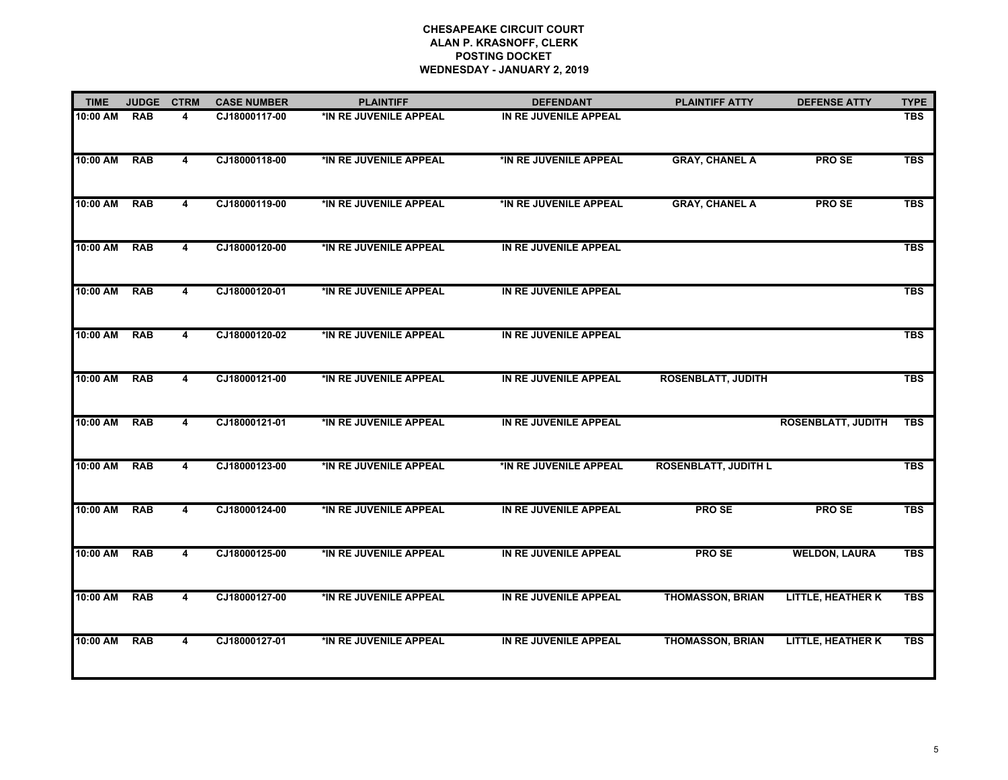| <b>TIME</b> | <b>JUDGE</b> | <b>CTRM</b>             | <b>CASE NUMBER</b> | <b>PLAINTIFF</b>       | <b>DEFENDANT</b>       | <b>PLAINTIFF ATTY</b>       | <b>DEFENSE ATTY</b>       | <b>TYPE</b> |
|-------------|--------------|-------------------------|--------------------|------------------------|------------------------|-----------------------------|---------------------------|-------------|
| 10:00 AM    | <b>RAB</b>   | 4                       | CJ18000117-00      | *IN RE JUVENILE APPEAL | IN RE JUVENILE APPEAL  |                             |                           | <b>TBS</b>  |
| 10:00 AM    | <b>RAB</b>   | $\overline{4}$          | CJ18000118-00      | *IN RE JUVENILE APPEAL | *IN RE JUVENILE APPEAL | <b>GRAY, CHANEL A</b>       | <b>PROSE</b>              | <b>TBS</b>  |
| 10:00 AM    | <b>RAB</b>   | $\overline{4}$          | CJ18000119-00      | *IN RE JUVENILE APPEAL | *IN RE JUVENILE APPEAL | <b>GRAY, CHANEL A</b>       | PRO SE                    | <b>TBS</b>  |
| 10:00 AM    | <b>RAB</b>   | $\overline{4}$          | CJ18000120-00      | *IN RE JUVENILE APPEAL | IN RE JUVENILE APPEAL  |                             |                           | <b>TBS</b>  |
| 10:00 AM    | RAB          | 4                       | CJ18000120-01      | *IN RE JUVENILE APPEAL | IN RE JUVENILE APPEAL  |                             |                           | <b>TBS</b>  |
| 10:00 AM    | <b>RAB</b>   | $\overline{4}$          | CJ18000120-02      | *IN RE JUVENILE APPEAL | IN RE JUVENILE APPEAL  |                             |                           | <b>TBS</b>  |
| 10:00 AM    | <b>RAB</b>   | 4                       | CJ18000121-00      | *IN RE JUVENILE APPEAL | IN RE JUVENILE APPEAL  | <b>ROSENBLATT, JUDITH</b>   |                           | <b>TBS</b>  |
| 10:00 AM    | <b>RAB</b>   | 4                       | CJ18000121-01      | *IN RE JUVENILE APPEAL | IN RE JUVENILE APPEAL  |                             | <b>ROSENBLATT, JUDITH</b> | <b>TBS</b>  |
| 10:00 AM    | <b>RAB</b>   | 4                       | CJ18000123-00      | *IN RE JUVENILE APPEAL | *IN RE JUVENILE APPEAL | <b>ROSENBLATT, JUDITH L</b> |                           | <b>TBS</b>  |
| 10:00 AM    | <b>RAB</b>   | $\overline{4}$          | CJ18000124-00      | *IN RE JUVENILE APPEAL | IN RE JUVENILE APPEAL  | <b>PROSE</b>                | PRO SE                    | <b>TBS</b>  |
| 10:00 AM    | <b>RAB</b>   | $\overline{\mathbf{4}}$ | CJ18000125-00      | *IN RE JUVENILE APPEAL | IN RE JUVENILE APPEAL  | <b>PROSE</b>                | <b>WELDON, LAURA</b>      | <b>TBS</b>  |
| 10:00 AM    | <b>RAB</b>   | 4                       | CJ18000127-00      | *IN RE JUVENILE APPEAL | IN RE JUVENILE APPEAL  | <b>THOMASSON, BRIAN</b>     | <b>LITTLE, HEATHER K</b>  | <b>TBS</b>  |
| 10:00 AM    | <b>RAB</b>   | 4                       | CJ18000127-01      | *IN RE JUVENILE APPEAL | IN RE JUVENILE APPEAL  | <b>THOMASSON, BRIAN</b>     | <b>LITTLE, HEATHER K</b>  | <b>TBS</b>  |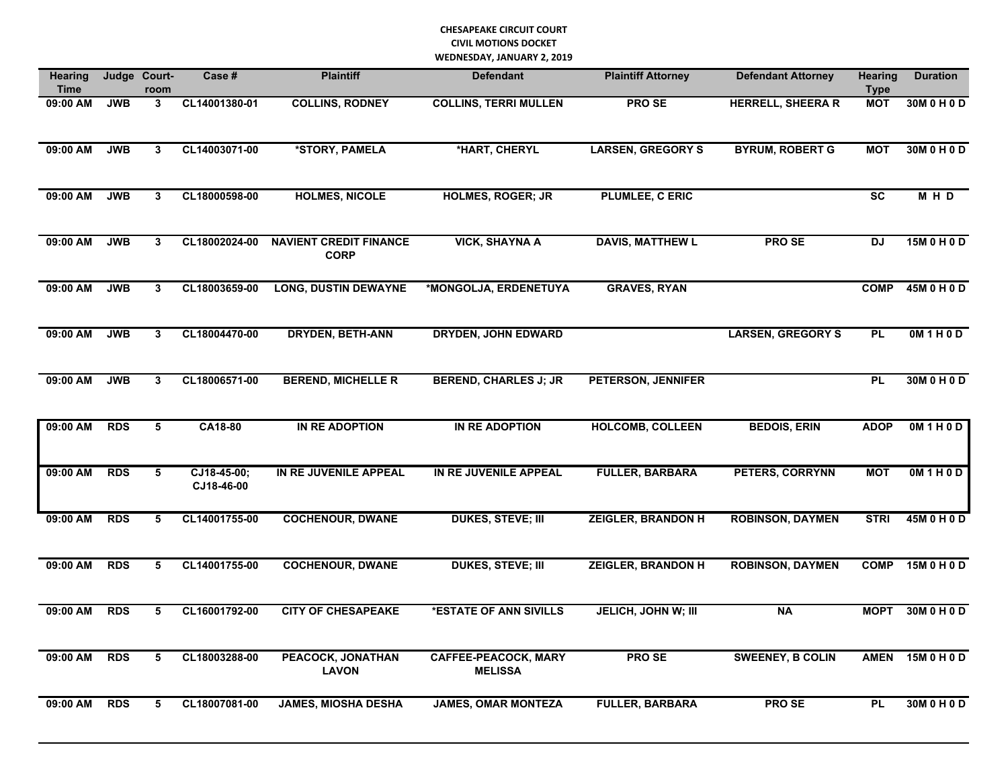#### **CHESAPEAKE CIRCUIT COURT CIVIL MOTIONS DOCKET WEDNESDAY, JANUARY 2, 2019**

| <b>Hearing</b><br><b>Time</b> |            | Judge Court-<br>room | Case #                    | <b>Plaintiff</b>                             | <b>Defendant</b>                              | <b>Plaintiff Attorney</b> | <b>Defendant Attorney</b> | <b>Hearing</b><br><b>Type</b> | <b>Duration</b> |
|-------------------------------|------------|----------------------|---------------------------|----------------------------------------------|-----------------------------------------------|---------------------------|---------------------------|-------------------------------|-----------------|
| 09:00 AM                      | <b>JWB</b> | 3                    | CL14001380-01             | <b>COLLINS, RODNEY</b>                       | <b>COLLINS, TERRI MULLEN</b>                  | <b>PROSE</b>              | <b>HERRELL, SHEERA R</b>  | <b>MOT</b>                    | 30M 0 H 0 D     |
| 09:00 AM                      | <b>JWB</b> | 3                    | CL14003071-00             | *STORY, PAMELA                               | *HART, CHERYL                                 | <b>LARSEN, GREGORY S</b>  | <b>BYRUM, ROBERT G</b>    | <b>MOT</b>                    | 30M 0 H 0 D     |
| 09:00 AM                      | <b>JWB</b> | 3                    | CL18000598-00             | <b>HOLMES, NICOLE</b>                        | <b>HOLMES, ROGER; JR</b>                      | PLUMLEE, C ERIC           |                           | $\overline{\text{sc}}$        | MHD             |
| 09:00 AM                      | <b>JWB</b> | 3                    | CL18002024-00             | <b>NAVIENT CREDIT FINANCE</b><br><b>CORP</b> | <b>VICK, SHAYNA A</b>                         | <b>DAVIS, MATTHEW L</b>   | <b>PROSE</b>              | <b>DJ</b>                     | 15M 0 H 0 D     |
| 09:00 AM                      | <b>JWB</b> | 3                    | CL18003659-00             | <b>LONG, DUSTIN DEWAYNE</b>                  | *MONGOLJA, ERDENETUYA                         | <b>GRAVES, RYAN</b>       |                           | <b>COMP</b>                   | 45M 0 H 0 D     |
| 09:00 AM                      | <b>JWB</b> | 3                    | CL18004470-00             | <b>DRYDEN, BETH-ANN</b>                      | <b>DRYDEN, JOHN EDWARD</b>                    |                           | <b>LARSEN, GREGORY S</b>  | <b>PL</b>                     | OM1H0D          |
| 09:00 AM                      | <b>JWB</b> | 3                    | CL18006571-00             | <b>BEREND, MICHELLE R</b>                    | <b>BEREND, CHARLES J; JR</b>                  | <b>PETERSON, JENNIFER</b> |                           | <b>PL</b>                     | 30M 0 H 0 D     |
| 09:00 AM                      | <b>RDS</b> | 5                    | CA18-80                   | IN RE ADOPTION                               | IN RE ADOPTION                                | <b>HOLCOMB, COLLEEN</b>   | <b>BEDOIS, ERIN</b>       | <b>ADOP</b>                   | OM1H0D          |
| 09:00 AM                      | <b>RDS</b> | 5                    | CJ18-45-00;<br>CJ18-46-00 | IN RE JUVENILE APPEAL                        | IN RE JUVENILE APPEAL                         | <b>FULLER, BARBARA</b>    | PETERS, CORRYNN           | <b>MOT</b>                    | OM1H0D          |
| 09:00 AM                      | <b>RDS</b> | 5                    | CL14001755-00             | <b>COCHENOUR, DWANE</b>                      | <b>DUKES, STEVE; III</b>                      | <b>ZEIGLER, BRANDON H</b> | <b>ROBINSON, DAYMEN</b>   | <b>STRI</b>                   | 45M 0 H 0 D     |
| 09:00 AM                      | <b>RDS</b> | 5                    | CL14001755-00             | <b>COCHENOUR, DWANE</b>                      | <b>DUKES, STEVE; III</b>                      | <b>ZEIGLER, BRANDON H</b> | <b>ROBINSON, DAYMEN</b>   | <b>COMP</b>                   | 15M 0 H 0 D     |
| 09:00 AM                      | <b>RDS</b> | 5                    | CL16001792-00             | <b>CITY OF CHESAPEAKE</b>                    | *ESTATE OF ANN SIVILLS                        | JELICH, JOHN W; III       | <b>NA</b>                 | <b>MOPT</b>                   | 30M 0 H 0 D     |
| 09:00 AM                      | <b>RDS</b> | 5                    | CL18003288-00             | PEACOCK, JONATHAN<br><b>LAVON</b>            | <b>CAFFEE-PEACOCK, MARY</b><br><b>MELISSA</b> | <b>PROSE</b>              | <b>SWEENEY, B COLIN</b>   | <b>AMEN</b>                   | 15M 0 H 0 D     |
| 09:00 AM                      | <b>RDS</b> | 5                    | CL18007081-00             | <b>JAMES, MIOSHA DESHA</b>                   | <b>JAMES, OMAR MONTEZA</b>                    | <b>FULLER, BARBARA</b>    | <b>PROSE</b>              | <b>PL</b>                     | 30M 0 H 0 D     |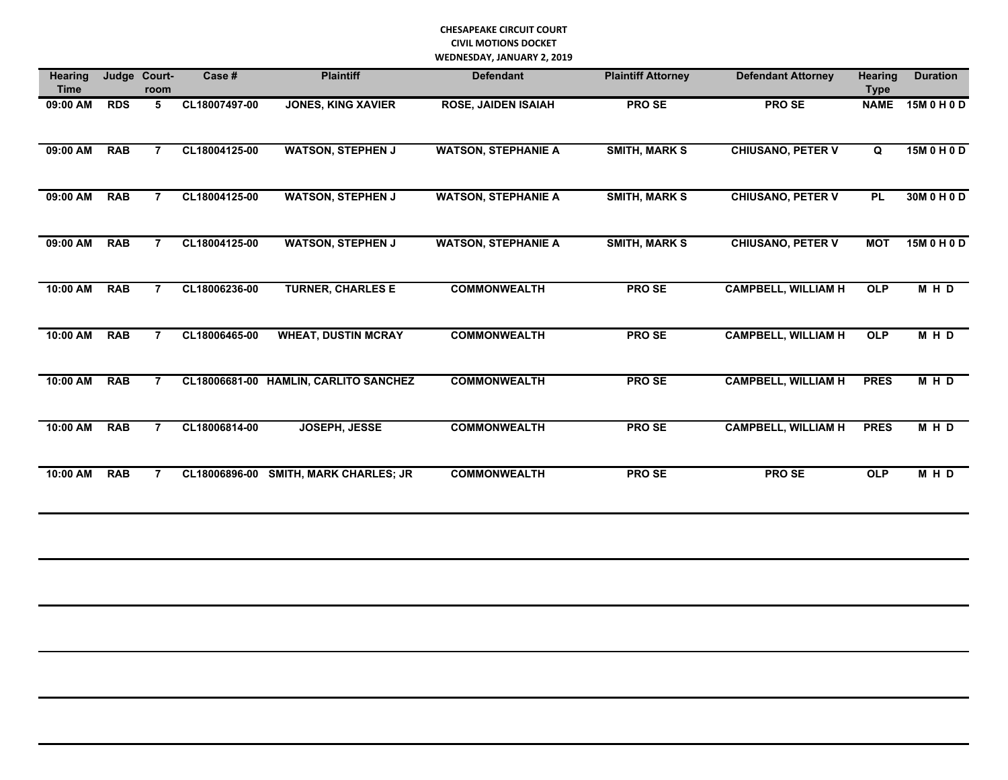#### **CHESAPEAKE CIRCUIT COURT CIVIL MOTIONS DOCKET WEDNESDAY, JANUARY 2, 2019**

| <b>Hearing</b><br><b>Time</b> | Judge      | Court-<br>room | Case #        | <b>Plaintiff</b>                      | <b>Defendant</b>           | <b>Plaintiff Attorney</b> | <b>Defendant Attorney</b>  | <b>Hearing</b><br><b>Type</b> | <b>Duration</b> |
|-------------------------------|------------|----------------|---------------|---------------------------------------|----------------------------|---------------------------|----------------------------|-------------------------------|-----------------|
| 09:00 AM                      | <b>RDS</b> | 5              | CL18007497-00 | <b>JONES, KING XAVIER</b>             | <b>ROSE, JAIDEN ISAIAH</b> | <b>PROSE</b>              | <b>PROSE</b>               | <b>NAME</b>                   | 15M 0 H 0 D     |
| 09:00 AM                      | <b>RAB</b> | $\overline{7}$ | CL18004125-00 | <b>WATSON, STEPHEN J</b>              | <b>WATSON, STEPHANIE A</b> | <b>SMITH, MARK S</b>      | <b>CHIUSANO, PETER V</b>   | Q                             | 15M 0 H 0 D     |
| 09:00 AM                      | <b>RAB</b> | 7              | CL18004125-00 | <b>WATSON, STEPHEN J</b>              | <b>WATSON, STEPHANIE A</b> | <b>SMITH, MARK S</b>      | <b>CHIUSANO, PETER V</b>   | <b>PL</b>                     | 30M 0 H 0 D     |
| 09:00 AM                      | <b>RAB</b> | $\overline{7}$ | CL18004125-00 | <b>WATSON, STEPHEN J</b>              | <b>WATSON, STEPHANIE A</b> | <b>SMITH, MARK S</b>      | <b>CHIUSANO, PETER V</b>   | <b>MOT</b>                    | 15M 0 H 0 D     |
| 10:00 AM                      | <b>RAB</b> | $\overline{7}$ | CL18006236-00 | <b>TURNER, CHARLES E</b>              | <b>COMMONWEALTH</b>        | <b>PROSE</b>              | <b>CAMPBELL, WILLIAM H</b> | <b>OLP</b>                    | MHD             |
| 10:00 AM                      | <b>RAB</b> | $\overline{7}$ | CL18006465-00 | <b>WHEAT, DUSTIN MCRAY</b>            | <b>COMMONWEALTH</b>        | <b>PROSE</b>              | <b>CAMPBELL, WILLIAM H</b> | OLP                           | MHD             |
| 10:00 AM                      | <b>RAB</b> | $\overline{7}$ |               | CL18006681-00 HAMLIN, CARLITO SANCHEZ | <b>COMMONWEALTH</b>        | <b>PROSE</b>              | <b>CAMPBELL, WILLIAM H</b> | <b>PRES</b>                   | MHD             |
| 10:00 AM                      | <b>RAB</b> | $\overline{7}$ | CL18006814-00 | JOSEPH, JESSE                         | <b>COMMONWEALTH</b>        | <b>PROSE</b>              | <b>CAMPBELL, WILLIAM H</b> | <b>PRES</b>                   | MHD             |
| 10:00 AM                      | <b>RAB</b> | $\overline{7}$ | CL18006896-00 | <b>SMITH, MARK CHARLES; JR</b>        | <b>COMMONWEALTH</b>        | <b>PROSE</b>              | <b>PROSE</b>               | <b>OLP</b>                    | MHD             |